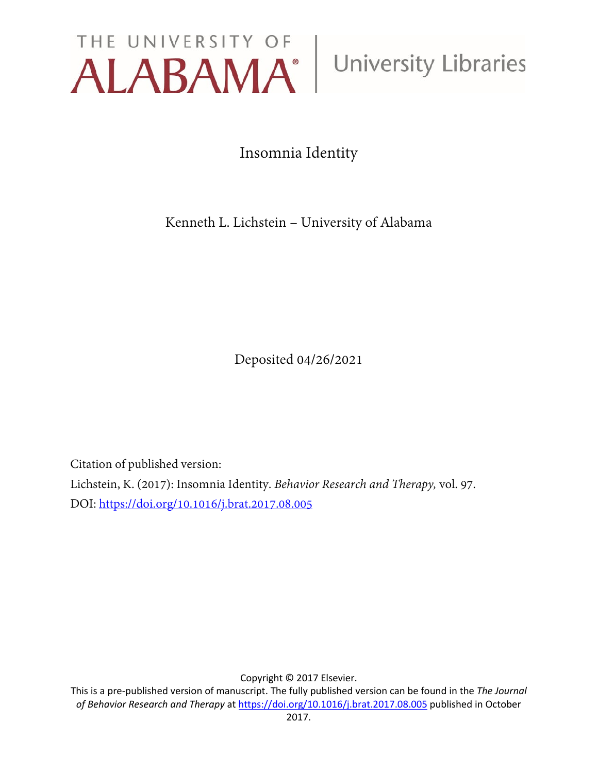

Insomnia Identity

Kenneth L. Lichstein – University of Alabama

Deposited 04/26/2021

Citation of published version:

Lichstein, K. (2017): Insomnia Identity. *Behavior Research and Therapy,* vol. 97. DOI:<https://doi.org/10.1016/j.brat.2017.08.005>

Copyright © 2017 Elsevier.

This is a pre-published version of manuscript. The fully published version can be found in the *The Journal of Behavior Research and Therapy* at<https://doi.org/10.1016/j.brat.2017.08.005> published in October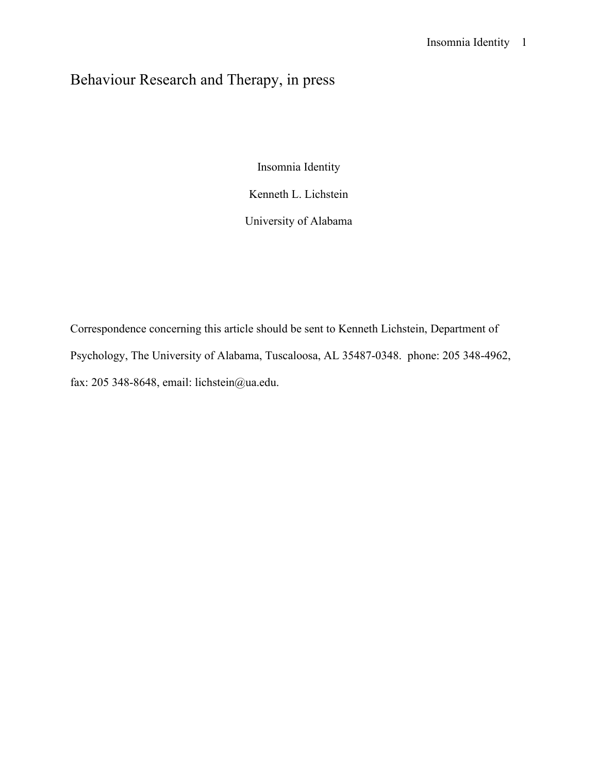# Behaviour Research and Therapy, in press

Insomnia Identity

Kenneth L. Lichstein

University of Alabama

Correspondence concerning this article should be sent to Kenneth Lichstein, Department of Psychology, The University of Alabama, Tuscaloosa, AL 35487-0348. phone: 205 348-4962, fax: 205 348-8648, email: [lichstein@ua.edu.](mailto:lichstein@ua.edu)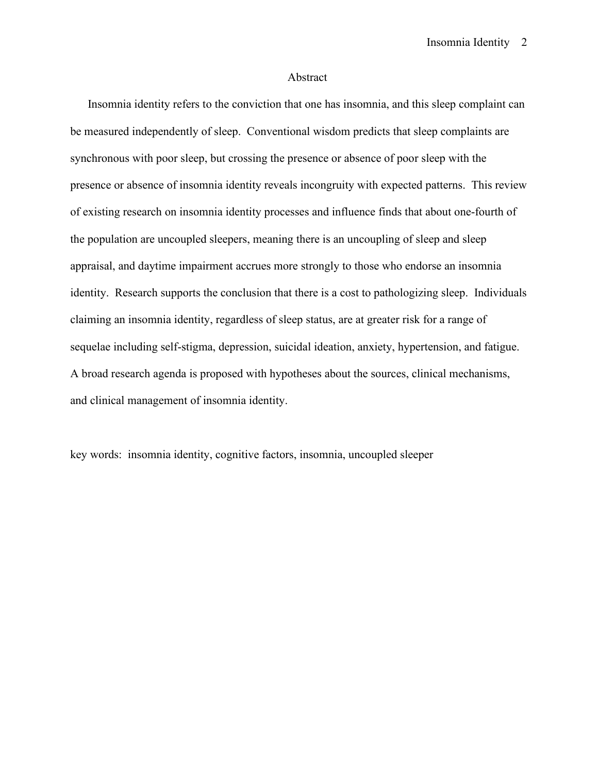## Abstract

Insomnia identity refers to the conviction that one has insomnia, and this sleep complaint can be measured independently of sleep. Conventional wisdom predicts that sleep complaints are synchronous with poor sleep, but crossing the presence or absence of poor sleep with the presence or absence of insomnia identity reveals incongruity with expected patterns. This review of existing research on insomnia identity processes and influence finds that about one-fourth of the population are uncoupled sleepers, meaning there is an uncoupling of sleep and sleep appraisal, and daytime impairment accrues more strongly to those who endorse an insomnia identity. Research supports the conclusion that there is a cost to pathologizing sleep. Individuals claiming an insomnia identity, regardless of sleep status, are at greater risk for a range of sequelae including self-stigma, depression, suicidal ideation, anxiety, hypertension, and fatigue. A broad research agenda is proposed with hypotheses about the sources, clinical mechanisms, and clinical management of insomnia identity.

key words: insomnia identity, cognitive factors, insomnia, uncoupled sleeper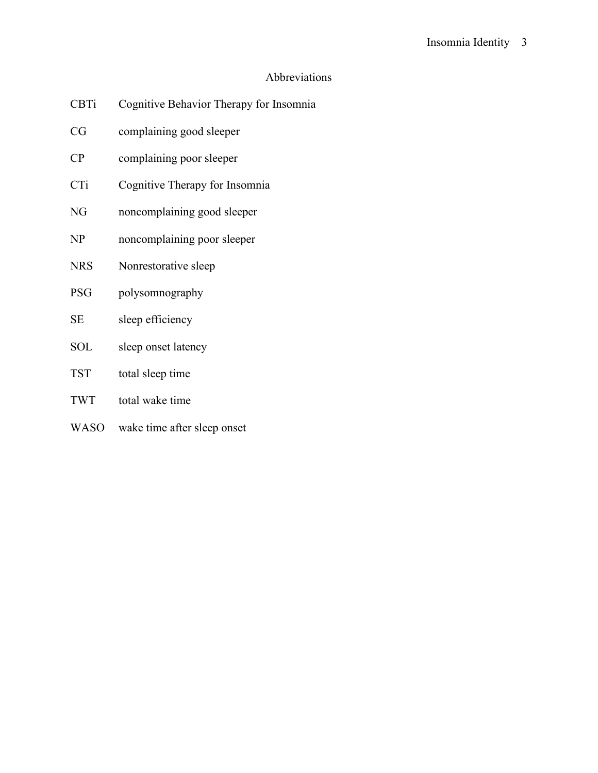## Insomnia Identity 3

## Abbreviations

| <b>CBTi</b> | Cognitive Behavior Therapy for Insomnia |
|-------------|-----------------------------------------|
| CG          | complaining good sleeper                |
| CP          | complaining poor sleeper                |
| CTi         | Cognitive Therapy for Insomnia          |
| NG          | noncomplaining good sleeper             |
| NP          | noncomplaining poor sleeper             |
| <b>NRS</b>  | Nonrestorative sleep                    |
| <b>PSG</b>  | polysomnography                         |
| <b>SE</b>   | sleep efficiency                        |
| <b>SOL</b>  | sleep onset latency                     |
| <b>TST</b>  | total sleep time                        |
| <b>TWT</b>  | total wake time                         |
| <b>WASO</b> | wake time after sleep onset             |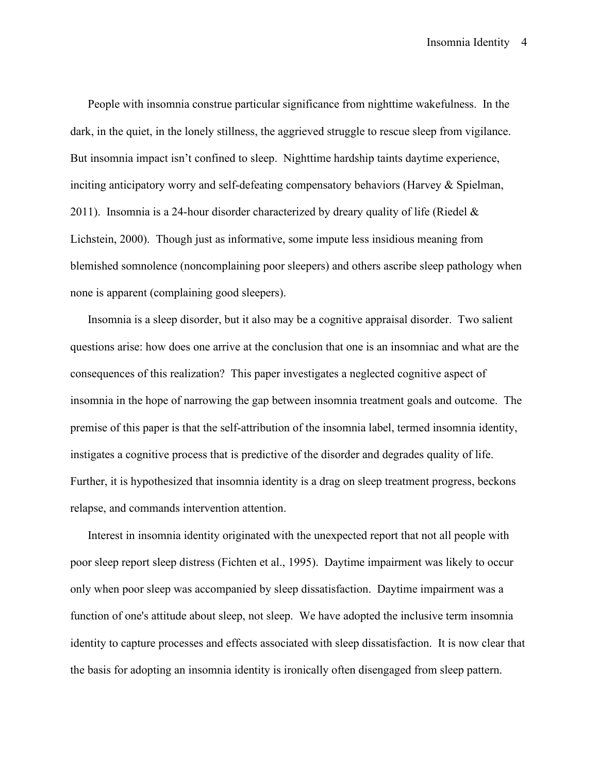People with insomnia construe particular significance from nighttime wakefulness. In the dark, in the quiet, in the lonely stillness, the aggrieved struggle to rescue sleep from vigilance. But insomnia impact isn't confined to sleep. Nighttime hardship taints daytime experience, inciting anticipatory worry and self-defeating compensatory behaviors (Harvey & Spielman, 2011). Insomnia is a 24-hour disorder characterized by dreary quality of life (Riedel  $\&$ Lichstein, 2000). Though just as informative, some impute less insidious meaning from blemished somnolence (noncomplaining poor sleepers) and others ascribe sleep pathology when none is apparent (complaining good sleepers).

Insomnia is a sleep disorder, but it also may be a cognitive appraisal disorder. Two salient questions arise: how does one arrive at the conclusion that one is an insomniac and what are the consequences of this realization? This paper investigates a neglected cognitive aspect of insomnia in the hope of narrowing the gap between insomnia treatment goals and outcome. The premise of this paper is that the self-attribution of the insomnia label, termed insomnia identity, instigates a cognitive process that is predictive of the disorder and degrades quality of life. Further, it is hypothesized that insomnia identity is a drag on sleep treatment progress, beckons relapse, and commands intervention attention.

Interest in insomnia identity originated with the unexpected report that not all people with poor sleep report sleep distress (Fichten et al., 1995). Daytime impairment was likely to occur only when poor sleep was accompanied by sleep dissatisfaction. Daytime impairment was a function of one's attitude about sleep, not sleep. We have adopted the inclusive term insomnia identity to capture processes and effects associated with sleep dissatisfaction. It is now clear that the basis for adopting an insomnia identity is ironically often disengaged from sleep pattern.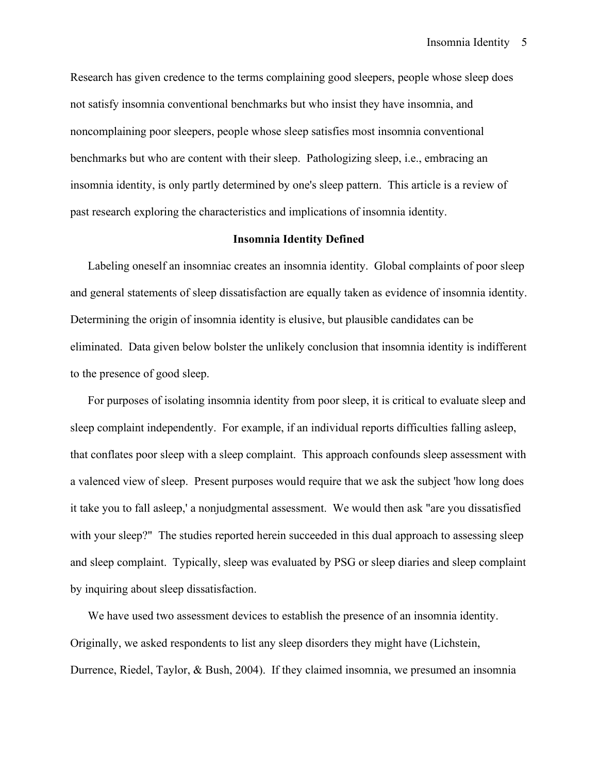Research has given credence to the terms complaining good sleepers, people whose sleep does not satisfy insomnia conventional benchmarks but who insist they have insomnia, and noncomplaining poor sleepers, people whose sleep satisfies most insomnia conventional benchmarks but who are content with their sleep. Pathologizing sleep, i.e., embracing an insomnia identity, is only partly determined by one's sleep pattern. This article is a review of past research exploring the characteristics and implications of insomnia identity.

## **Insomnia Identity Defined**

Labeling oneself an insomniac creates an insomnia identity. Global complaints of poor sleep and general statements of sleep dissatisfaction are equally taken as evidence of insomnia identity. Determining the origin of insomnia identity is elusive, but plausible candidates can be eliminated. Data given below bolster the unlikely conclusion that insomnia identity is indifferent to the presence of good sleep.

For purposes of isolating insomnia identity from poor sleep, it is critical to evaluate sleep and sleep complaint independently. For example, if an individual reports difficulties falling asleep, that conflates poor sleep with a sleep complaint. This approach confounds sleep assessment with a valenced view of sleep. Present purposes would require that we ask the subject 'how long does it take you to fall asleep,' a nonjudgmental assessment. We would then ask "are you dissatisfied with your sleep?" The studies reported herein succeeded in this dual approach to assessing sleep and sleep complaint. Typically, sleep was evaluated by PSG or sleep diaries and sleep complaint by inquiring about sleep dissatisfaction.

We have used two assessment devices to establish the presence of an insomnia identity. Originally, we asked respondents to list any sleep disorders they might have (Lichstein, Durrence, Riedel, Taylor, & Bush, 2004). If they claimed insomnia, we presumed an insomnia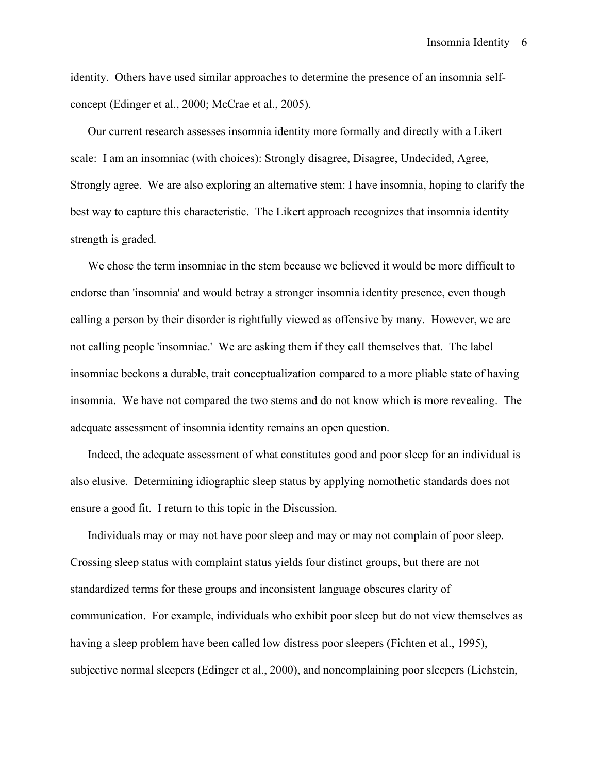identity. Others have used similar approaches to determine the presence of an insomnia selfconcept (Edinger et al., 2000; McCrae et al., 2005).

Our current research assesses insomnia identity more formally and directly with a Likert scale: I am an insomniac (with choices): Strongly disagree, Disagree, Undecided, Agree, Strongly agree. We are also exploring an alternative stem: I have insomnia, hoping to clarify the best way to capture this characteristic. The Likert approach recognizes that insomnia identity strength is graded.

We chose the term insomniac in the stem because we believed it would be more difficult to endorse than 'insomnia' and would betray a stronger insomnia identity presence, even though calling a person by their disorder is rightfully viewed as offensive by many. However, we are not calling people 'insomniac.' We are asking them if they call themselves that. The label insomniac beckons a durable, trait conceptualization compared to a more pliable state of having insomnia. We have not compared the two stems and do not know which is more revealing. The adequate assessment of insomnia identity remains an open question.

Indeed, the adequate assessment of what constitutes good and poor sleep for an individual is also elusive. Determining idiographic sleep status by applying nomothetic standards does not ensure a good fit. I return to this topic in the Discussion.

Individuals may or may not have poor sleep and may or may not complain of poor sleep. Crossing sleep status with complaint status yields four distinct groups, but there are not standardized terms for these groups and inconsistent language obscures clarity of communication. For example, individuals who exhibit poor sleep but do not view themselves as having a sleep problem have been called low distress poor sleepers (Fichten et al., 1995), subjective normal sleepers (Edinger et al., 2000), and noncomplaining poor sleepers (Lichstein,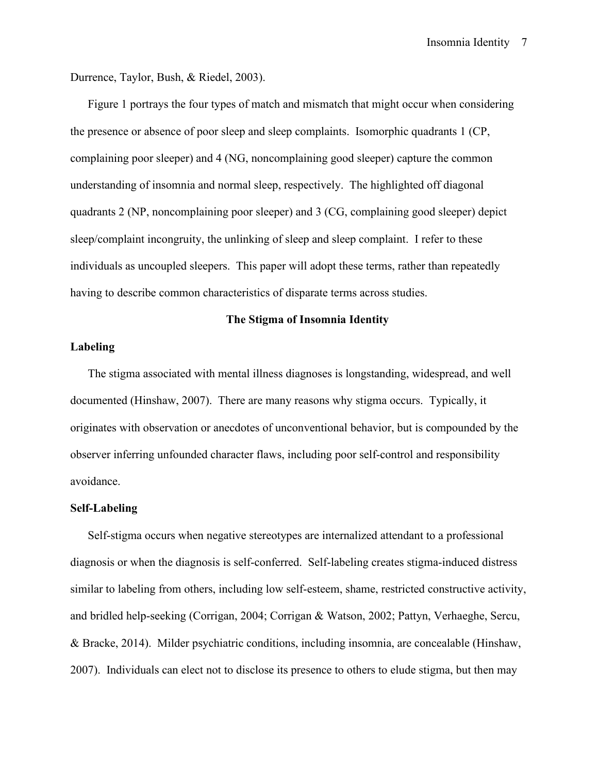Durrence, Taylor, Bush, & Riedel, 2003).

Figure 1 portrays the four types of match and mismatch that might occur when considering the presence or absence of poor sleep and sleep complaints. Isomorphic quadrants 1 (CP, complaining poor sleeper) and 4 (NG, noncomplaining good sleeper) capture the common understanding of insomnia and normal sleep, respectively. The highlighted off diagonal quadrants 2 (NP, noncomplaining poor sleeper) and 3 (CG, complaining good sleeper) depict sleep/complaint incongruity, the unlinking of sleep and sleep complaint. I refer to these individuals as uncoupled sleepers. This paper will adopt these terms, rather than repeatedly having to describe common characteristics of disparate terms across studies.

## **The Stigma of Insomnia Identity**

## **Labeling**

The stigma associated with mental illness diagnoses is longstanding, widespread, and well documented (Hinshaw, 2007). There are many reasons why stigma occurs. Typically, it originates with observation or anecdotes of unconventional behavior, but is compounded by the observer inferring unfounded character flaws, including poor self-control and responsibility avoidance.

## **Self-Labeling**

Self-stigma occurs when negative stereotypes are internalized attendant to a professional diagnosis or when the diagnosis is self-conferred. Self-labeling creates stigma-induced distress similar to labeling from others, including low self-esteem, shame, restricted constructive activity, and bridled help-seeking (Corrigan, 2004; Corrigan & Watson, 2002; Pattyn, Verhaeghe, Sercu, & Bracke, 2014). Milder psychiatric conditions, including insomnia, are concealable (Hinshaw, 2007). Individuals can elect not to disclose its presence to others to elude stigma, but then may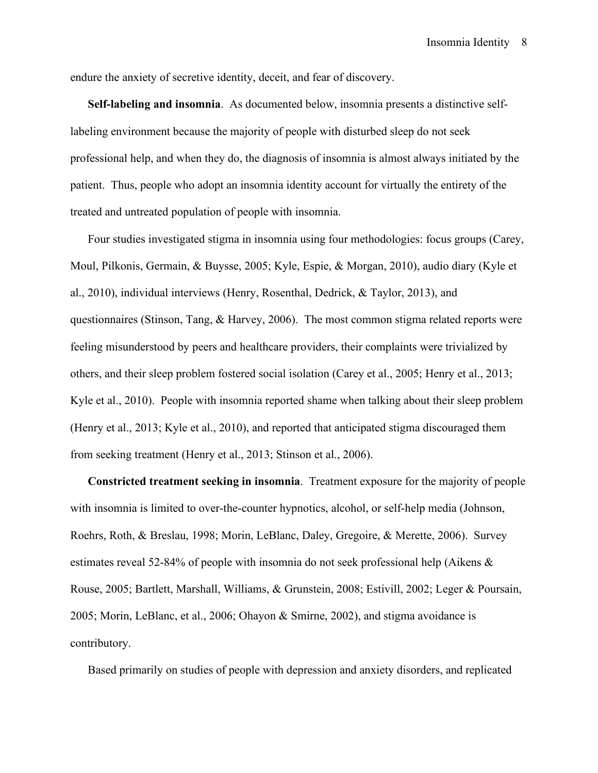endure the anxiety of secretive identity, deceit, and fear of discovery.

**Self-labeling and insomnia**. As documented below, insomnia presents a distinctive selflabeling environment because the majority of people with disturbed sleep do not seek professional help, and when they do, the diagnosis of insomnia is almost always initiated by the patient. Thus, people who adopt an insomnia identity account for virtually the entirety of the treated and untreated population of people with insomnia.

Four studies investigated stigma in insomnia using four methodologies: focus groups (Carey, Moul, Pilkonis, Germain, & Buysse, 2005; Kyle, Espie, & Morgan, 2010), audio diary (Kyle et al., 2010), individual interviews (Henry, Rosenthal, Dedrick, & Taylor, 2013), and questionnaires (Stinson, Tang, & Harvey, 2006). The most common stigma related reports were feeling misunderstood by peers and healthcare providers, their complaints were trivialized by others, and their sleep problem fostered social isolation (Carey et al., 2005; Henry et al., 2013; Kyle et al., 2010). People with insomnia reported shame when talking about their sleep problem (Henry et al., 2013; Kyle et al., 2010), and reported that anticipated stigma discouraged them from seeking treatment (Henry et al., 2013; Stinson et al., 2006).

**Constricted treatment seeking in insomnia**. Treatment exposure for the majority of people with insomnia is limited to over-the-counter hypnotics, alcohol, or self-help media (Johnson, Roehrs, Roth, & Breslau, 1998; Morin, LeBlanc, Daley, Gregoire, & Merette, 2006). Survey estimates reveal 52-84% of people with insomnia do not seek professional help (Aikens & Rouse, 2005; Bartlett, Marshall, Williams, & Grunstein, 2008; Estivill, 2002; Leger & Poursain, 2005; Morin, LeBlanc, et al., 2006; Ohayon & Smirne, 2002), and stigma avoidance is contributory.

Based primarily on studies of people with depression and anxiety disorders, and replicated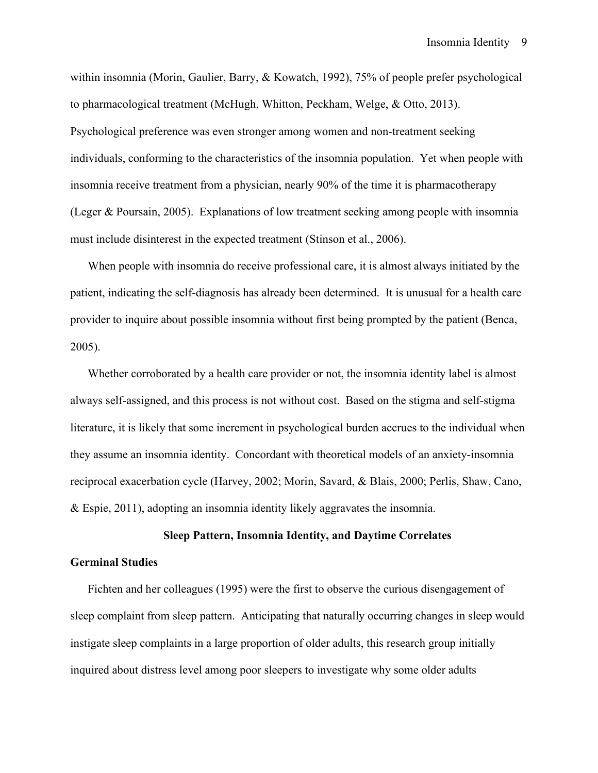within insomnia (Morin, Gaulier, Barry, & Kowatch, 1992), 75% of people prefer psychological to pharmacological treatment (McHugh, Whitton, Peckham, Welge, & Otto, 2013). Psychological preference was even stronger among women and non-treatment seeking individuals, conforming to the characteristics of the insomnia population. Yet when people with insomnia receive treatment from a physician, nearly 90% of the time it is pharmacotherapy (Leger & Poursain, 2005). Explanations of low treatment seeking among people with insomnia must include disinterest in the expected treatment (Stinson et al., 2006).

When people with insomnia do receive professional care, it is almost always initiated by the patient, indicating the self-diagnosis has already been determined. It is unusual for a health care provider to inquire about possible insomnia without first being prompted by the patient (Benca, 2005).

Whether corroborated by a health care provider or not, the insomnia identity label is almost always self-assigned, and this process is not without cost. Based on the stigma and self-stigma literature, it is likely that some increment in psychological burden accrues to the individual when they assume an insomnia identity. Concordant with theoretical models of an anxiety-insomnia reciprocal exacerbation cycle (Harvey, 2002; Morin, Savard, & Blais, 2000; Perlis, Shaw, Cano, & Espie, 2011), adopting an insomnia identity likely aggravates the insomnia.

## **Sleep Pattern, Insomnia Identity, and Daytime Correlates**

## **Germinal Studies**

Fichten and her colleagues (1995) were the first to observe the curious disengagement of sleep complaint from sleep pattern. Anticipating that naturally occurring changes in sleep would instigate sleep complaints in a large proportion of older adults, this research group initially inquired about distress level among poor sleepers to investigate why some older adults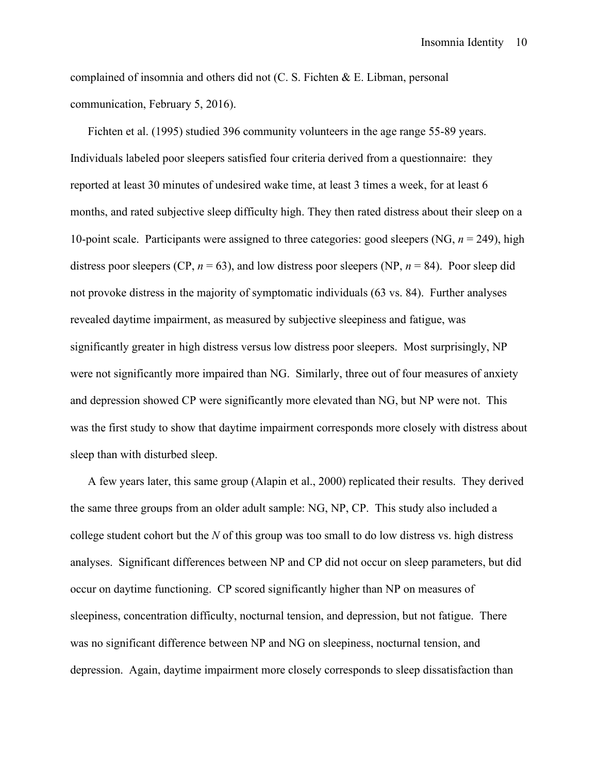complained of insomnia and others did not (C. S. Fichten & E. Libman, personal communication, February 5, 2016).

Fichten et al. (1995) studied 396 community volunteers in the age range 55-89 years. Individuals labeled poor sleepers satisfied four criteria derived from a questionnaire: they reported at least 30 minutes of undesired wake time, at least 3 times a week, for at least 6 months, and rated subjective sleep difficulty high. They then rated distress about their sleep on a 10-point scale. Participants were assigned to three categories: good sleepers (NG, *n* = 249), high distress poor sleepers (CP,  $n = 63$ ), and low distress poor sleepers (NP,  $n = 84$ ). Poor sleep did not provoke distress in the majority of symptomatic individuals (63 vs. 84). Further analyses revealed daytime impairment, as measured by subjective sleepiness and fatigue, was significantly greater in high distress versus low distress poor sleepers. Most surprisingly, NP were not significantly more impaired than NG. Similarly, three out of four measures of anxiety and depression showed CP were significantly more elevated than NG, but NP were not. This was the first study to show that daytime impairment corresponds more closely with distress about sleep than with disturbed sleep.

A few years later, this same group (Alapin et al., 2000) replicated their results. They derived the same three groups from an older adult sample: NG, NP, CP. This study also included a college student cohort but the *N* of this group was too small to do low distress vs. high distress analyses. Significant differences between NP and CP did not occur on sleep parameters, but did occur on daytime functioning. CP scored significantly higher than NP on measures of sleepiness, concentration difficulty, nocturnal tension, and depression, but not fatigue. There was no significant difference between NP and NG on sleepiness, nocturnal tension, and depression. Again, daytime impairment more closely corresponds to sleep dissatisfaction than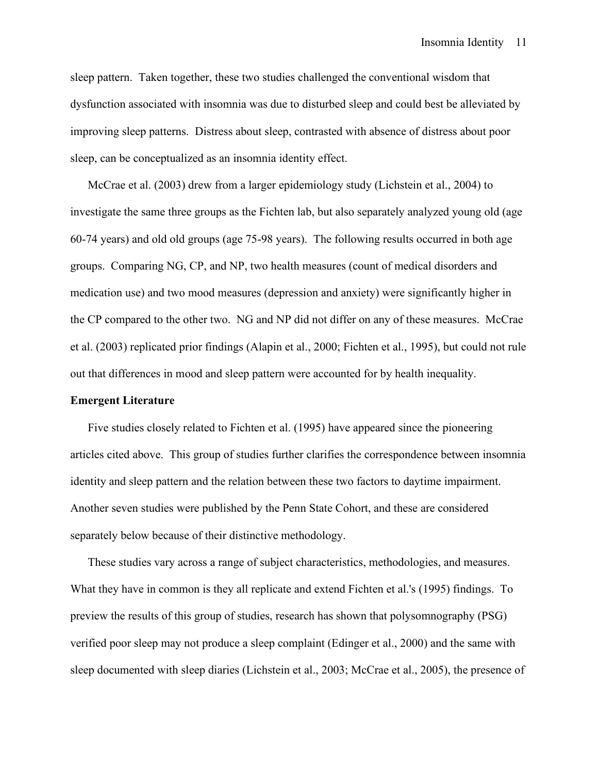sleep pattern. Taken together, these two studies challenged the conventional wisdom that dysfunction associated with insomnia was due to disturbed sleep and could best be alleviated by improving sleep patterns. Distress about sleep, contrasted with absence of distress about poor sleep, can be conceptualized as an insomnia identity effect.

McCrae et al. (2003) drew from a larger epidemiology study (Lichstein et al., 2004) to investigate the same three groups as the Fichten lab, but also separately analyzed young old (age 60-74 years) and old old groups (age 75-98 years). The following results occurred in both age groups. Comparing NG, CP, and NP, two health measures (count of medical disorders and medication use) and two mood measures (depression and anxiety) were significantly higher in the CP compared to the other two. NG and NP did not differ on any of these measures. McCrae et al. (2003) replicated prior findings (Alapin et al., 2000; Fichten et al., 1995), but could not rule out that differences in mood and sleep pattern were accounted for by health inequality.

## **Emergent Literature**

Five studies closely related to Fichten et al. (1995) have appeared since the pioneering articles cited above. This group of studies further clarifies the correspondence between insomnia identity and sleep pattern and the relation between these two factors to daytime impairment. Another seven studies were published by the Penn State Cohort, and these are considered separately below because of their distinctive methodology.

These studies vary across a range of subject characteristics, methodologies, and measures. What they have in common is they all replicate and extend Fichten et al.'s (1995) findings. To preview the results of this group of studies, research has shown that polysomnography (PSG) verified poor sleep may not produce a sleep complaint (Edinger et al., 2000) and the same with sleep documented with sleep diaries (Lichstein et al., 2003; McCrae et al., 2005), the presence of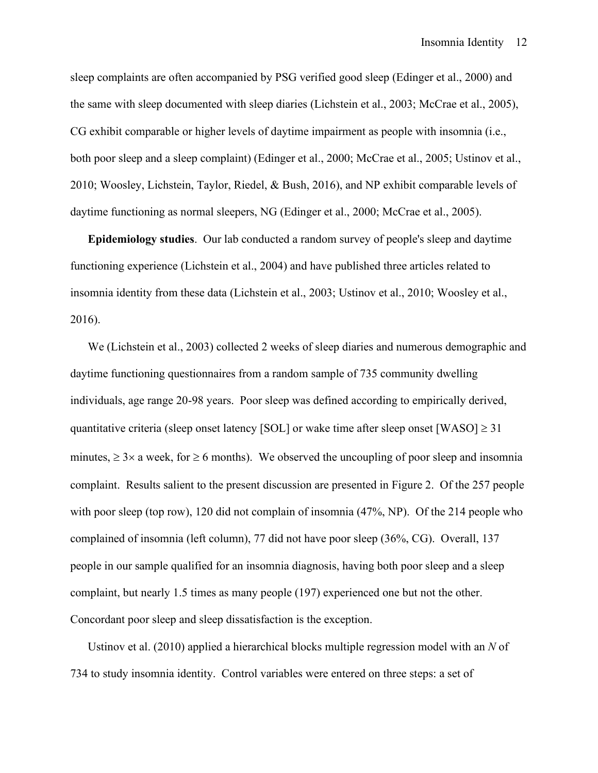sleep complaints are often accompanied by PSG verified good sleep (Edinger et al., 2000) and the same with sleep documented with sleep diaries (Lichstein et al., 2003; McCrae et al., 2005), CG exhibit comparable or higher levels of daytime impairment as people with insomnia (i.e., both poor sleep and a sleep complaint) (Edinger et al., 2000; McCrae et al., 2005; Ustinov et al., 2010; Woosley, Lichstein, Taylor, Riedel, & Bush, 2016), and NP exhibit comparable levels of daytime functioning as normal sleepers, NG (Edinger et al., 2000; McCrae et al., 2005).

**Epidemiology studies**. Our lab conducted a random survey of people's sleep and daytime functioning experience (Lichstein et al., 2004) and have published three articles related to insomnia identity from these data (Lichstein et al., 2003; Ustinov et al., 2010; Woosley et al., 2016).

We (Lichstein et al., 2003) collected 2 weeks of sleep diaries and numerous demographic and daytime functioning questionnaires from a random sample of 735 community dwelling individuals, age range 20-98 years. Poor sleep was defined according to empirically derived, quantitative criteria (sleep onset latency [SOL] or wake time after sleep onset  $[WASO] \ge 31$ minutes,  $\geq 3 \times a$  week, for  $\geq 6$  months). We observed the uncoupling of poor sleep and insomnia complaint. Results salient to the present discussion are presented in Figure 2. Of the 257 people with poor sleep (top row), 120 did not complain of insomnia (47%, NP). Of the 214 people who complained of insomnia (left column), 77 did not have poor sleep (36%, CG). Overall, 137 people in our sample qualified for an insomnia diagnosis, having both poor sleep and a sleep complaint, but nearly 1.5 times as many people (197) experienced one but not the other. Concordant poor sleep and sleep dissatisfaction is the exception.

Ustinov et al. (2010) applied a hierarchical blocks multiple regression model with an *N* of 734 to study insomnia identity. Control variables were entered on three steps: a set of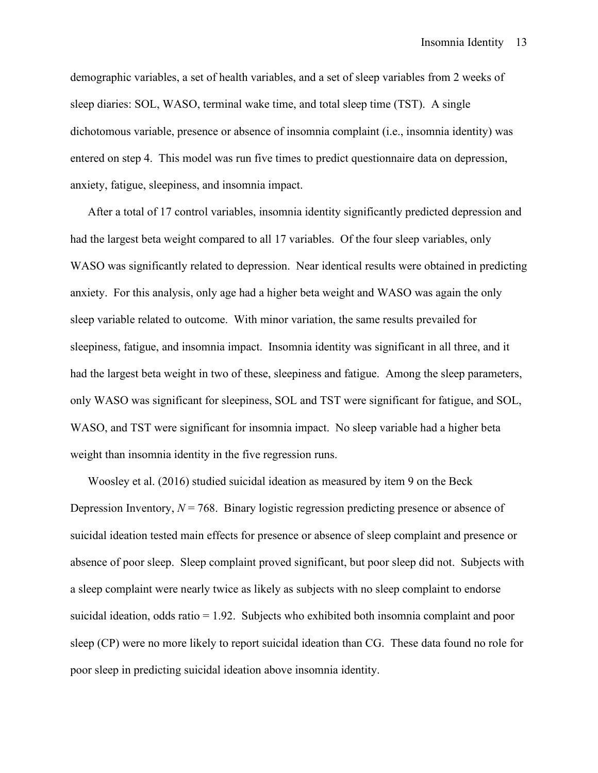demographic variables, a set of health variables, and a set of sleep variables from 2 weeks of sleep diaries: SOL, WASO, terminal wake time, and total sleep time (TST). A single dichotomous variable, presence or absence of insomnia complaint (i.e., insomnia identity) was entered on step 4. This model was run five times to predict questionnaire data on depression, anxiety, fatigue, sleepiness, and insomnia impact.

After a total of 17 control variables, insomnia identity significantly predicted depression and had the largest beta weight compared to all 17 variables. Of the four sleep variables, only WASO was significantly related to depression. Near identical results were obtained in predicting anxiety. For this analysis, only age had a higher beta weight and WASO was again the only sleep variable related to outcome. With minor variation, the same results prevailed for sleepiness, fatigue, and insomnia impact. Insomnia identity was significant in all three, and it had the largest beta weight in two of these, sleepiness and fatigue. Among the sleep parameters, only WASO was significant for sleepiness, SOL and TST were significant for fatigue, and SOL, WASO, and TST were significant for insomnia impact. No sleep variable had a higher beta weight than insomnia identity in the five regression runs.

Woosley et al. (2016) studied suicidal ideation as measured by item 9 on the Beck Depression Inventory,  $N = 768$ . Binary logistic regression predicting presence or absence of suicidal ideation tested main effects for presence or absence of sleep complaint and presence or absence of poor sleep. Sleep complaint proved significant, but poor sleep did not. Subjects with a sleep complaint were nearly twice as likely as subjects with no sleep complaint to endorse suicidal ideation, odds ratio = 1.92. Subjects who exhibited both insomnia complaint and poor sleep (CP) were no more likely to report suicidal ideation than CG. These data found no role for poor sleep in predicting suicidal ideation above insomnia identity.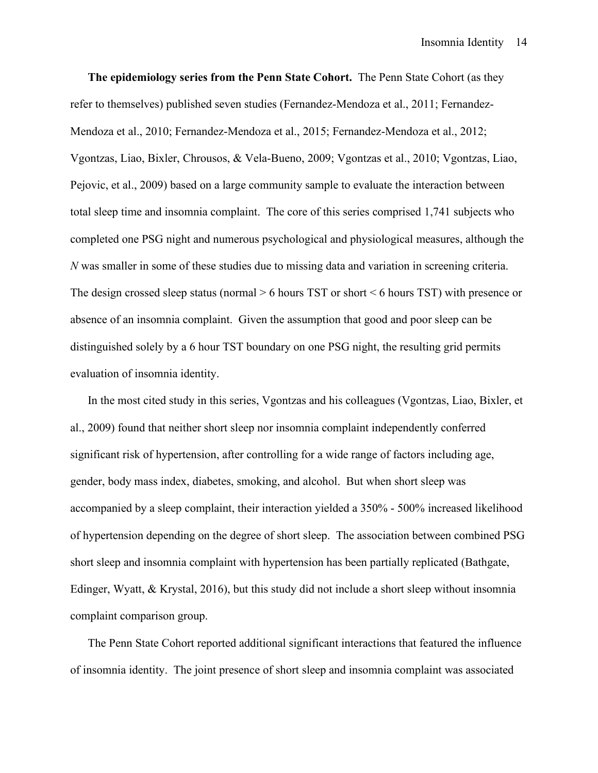**The epidemiology series from the Penn State Cohort.** The Penn State Cohort (as they refer to themselves) published seven studies (Fernandez-Mendoza et al., 2011; Fernandez-Mendoza et al., 2010; Fernandez-Mendoza et al., 2015; Fernandez-Mendoza et al., 2012; Vgontzas, Liao, Bixler, Chrousos, & Vela-Bueno, 2009; Vgontzas et al., 2010; Vgontzas, Liao, Pejovic, et al., 2009) based on a large community sample to evaluate the interaction between total sleep time and insomnia complaint. The core of this series comprised 1,741 subjects who completed one PSG night and numerous psychological and physiological measures, although the *N* was smaller in some of these studies due to missing data and variation in screening criteria. The design crossed sleep status (normal  $> 6$  hours TST or short  $< 6$  hours TST) with presence or absence of an insomnia complaint. Given the assumption that good and poor sleep can be distinguished solely by a 6 hour TST boundary on one PSG night, the resulting grid permits evaluation of insomnia identity.

In the most cited study in this series, Vgontzas and his colleagues (Vgontzas, Liao, Bixler, et al., 2009) found that neither short sleep nor insomnia complaint independently conferred significant risk of hypertension, after controlling for a wide range of factors including age, gender, body mass index, diabetes, smoking, and alcohol. But when short sleep was accompanied by a sleep complaint, their interaction yielded a 350% - 500% increased likelihood of hypertension depending on the degree of short sleep. The association between combined PSG short sleep and insomnia complaint with hypertension has been partially replicated (Bathgate, Edinger, Wyatt, & Krystal, 2016), but this study did not include a short sleep without insomnia complaint comparison group.

The Penn State Cohort reported additional significant interactions that featured the influence of insomnia identity. The joint presence of short sleep and insomnia complaint was associated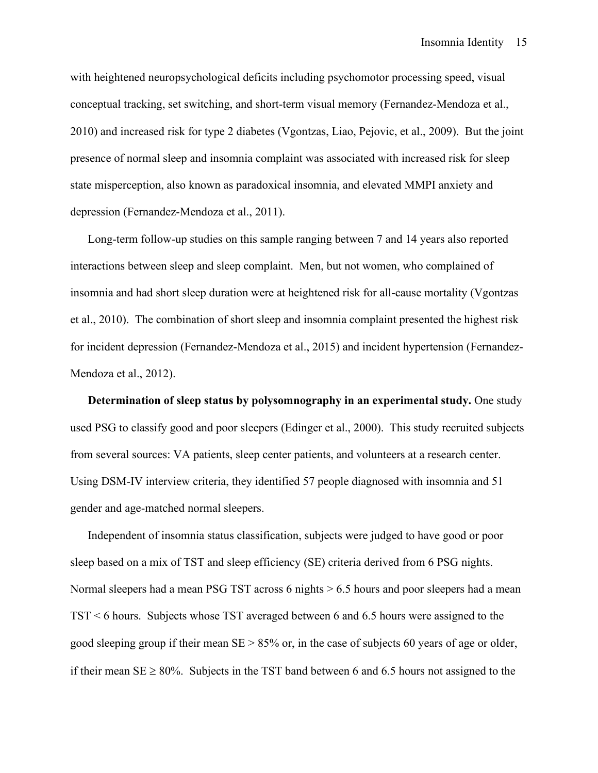with heightened neuropsychological deficits including psychomotor processing speed, visual conceptual tracking, set switching, and short-term visual memory (Fernandez-Mendoza et al., 2010) and increased risk for type 2 diabetes (Vgontzas, Liao, Pejovic, et al., 2009). But the joint presence of normal sleep and insomnia complaint was associated with increased risk for sleep state misperception, also known as paradoxical insomnia, and elevated MMPI anxiety and depression (Fernandez-Mendoza et al., 2011).

Long-term follow-up studies on this sample ranging between 7 and 14 years also reported interactions between sleep and sleep complaint. Men, but not women, who complained of insomnia and had short sleep duration were at heightened risk for all-cause mortality (Vgontzas et al., 2010). The combination of short sleep and insomnia complaint presented the highest risk for incident depression (Fernandez-Mendoza et al., 2015) and incident hypertension (Fernandez-Mendoza et al., 2012).

**Determination of sleep status by polysomnography in an experimental study.** One study used PSG to classify good and poor sleepers (Edinger et al., 2000). This study recruited subjects from several sources: VA patients, sleep center patients, and volunteers at a research center. Using DSM-IV interview criteria, they identified 57 people diagnosed with insomnia and 51 gender and age-matched normal sleepers.

Independent of insomnia status classification, subjects were judged to have good or poor sleep based on a mix of TST and sleep efficiency (SE) criteria derived from 6 PSG nights. Normal sleepers had a mean PSG TST across 6 nights  $> 6.5$  hours and poor sleepers had a mean TST < 6 hours. Subjects whose TST averaged between 6 and 6.5 hours were assigned to the good sleeping group if their mean  $SE > 85\%$  or, in the case of subjects 60 years of age or older, if their mean  $SE \ge 80\%$ . Subjects in the TST band between 6 and 6.5 hours not assigned to the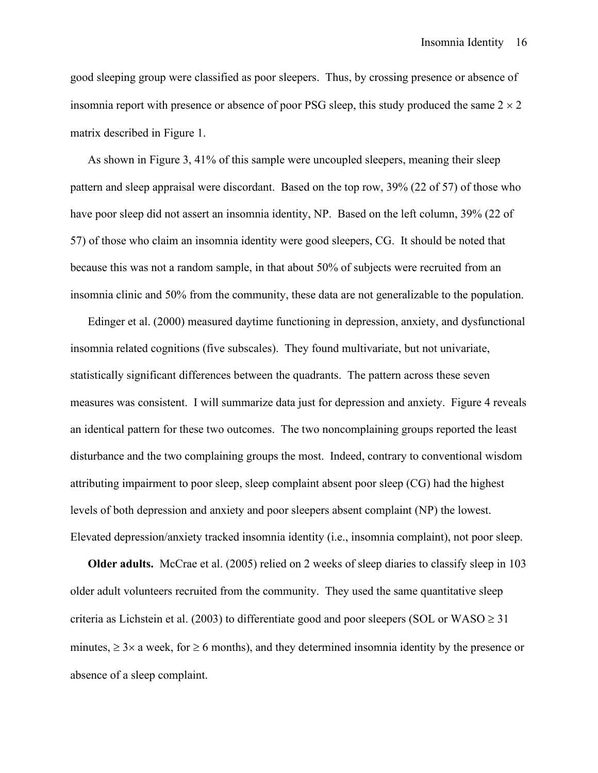good sleeping group were classified as poor sleepers. Thus, by crossing presence or absence of insomnia report with presence or absence of poor PSG sleep, this study produced the same  $2 \times 2$ matrix described in Figure 1.

As shown in Figure 3, 41% of this sample were uncoupled sleepers, meaning their sleep pattern and sleep appraisal were discordant. Based on the top row, 39% (22 of 57) of those who have poor sleep did not assert an insomnia identity, NP. Based on the left column, 39% (22 of 57) of those who claim an insomnia identity were good sleepers, CG. It should be noted that because this was not a random sample, in that about 50% of subjects were recruited from an insomnia clinic and 50% from the community, these data are not generalizable to the population.

Edinger et al. (2000) measured daytime functioning in depression, anxiety, and dysfunctional insomnia related cognitions (five subscales). They found multivariate, but not univariate, statistically significant differences between the quadrants. The pattern across these seven measures was consistent. I will summarize data just for depression and anxiety. Figure 4 reveals an identical pattern for these two outcomes. The two noncomplaining groups reported the least disturbance and the two complaining groups the most. Indeed, contrary to conventional wisdom attributing impairment to poor sleep, sleep complaint absent poor sleep (CG) had the highest levels of both depression and anxiety and poor sleepers absent complaint (NP) the lowest. Elevated depression/anxiety tracked insomnia identity (i.e., insomnia complaint), not poor sleep.

**Older adults.** McCrae et al. (2005) relied on 2 weeks of sleep diaries to classify sleep in 103 older adult volunteers recruited from the community. They used the same quantitative sleep criteria as Lichstein et al. (2003) to differentiate good and poor sleepers (SOL or WASO  $\geq$  31 minutes,  $\geq 3 \times a$  week, for  $\geq 6$  months), and they determined insomnia identity by the presence or absence of a sleep complaint.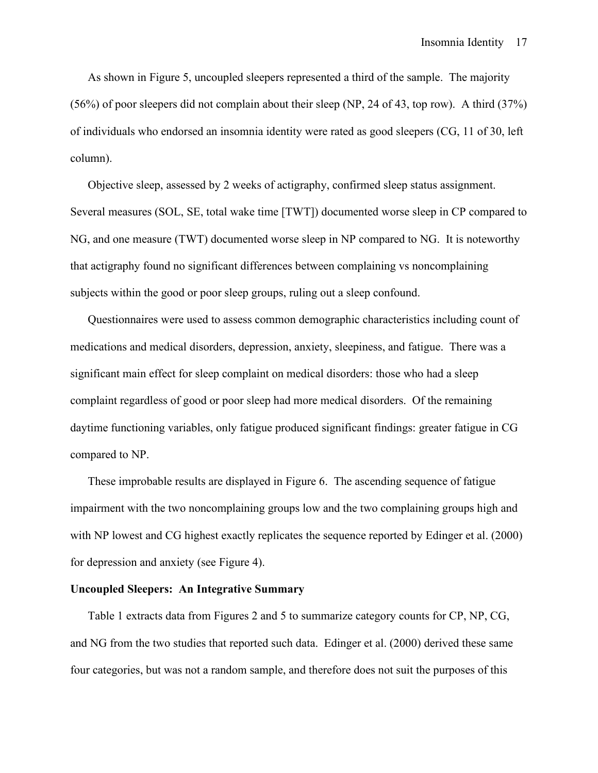As shown in Figure 5, uncoupled sleepers represented a third of the sample. The majority (56%) of poor sleepers did not complain about their sleep (NP, 24 of 43, top row). A third (37%) of individuals who endorsed an insomnia identity were rated as good sleepers (CG, 11 of 30, left column).

Objective sleep, assessed by 2 weeks of actigraphy, confirmed sleep status assignment. Several measures (SOL, SE, total wake time [TWT]) documented worse sleep in CP compared to NG, and one measure (TWT) documented worse sleep in NP compared to NG. It is noteworthy that actigraphy found no significant differences between complaining vs noncomplaining subjects within the good or poor sleep groups, ruling out a sleep confound.

Questionnaires were used to assess common demographic characteristics including count of medications and medical disorders, depression, anxiety, sleepiness, and fatigue. There was a significant main effect for sleep complaint on medical disorders: those who had a sleep complaint regardless of good or poor sleep had more medical disorders. Of the remaining daytime functioning variables, only fatigue produced significant findings: greater fatigue in CG compared to NP.

These improbable results are displayed in Figure 6. The ascending sequence of fatigue impairment with the two noncomplaining groups low and the two complaining groups high and with NP lowest and CG highest exactly replicates the sequence reported by Edinger et al. (2000) for depression and anxiety (see Figure 4).

## **Uncoupled Sleepers: An Integrative Summary**

Table 1 extracts data from Figures 2 and 5 to summarize category counts for CP, NP, CG, and NG from the two studies that reported such data. Edinger et al. (2000) derived these same four categories, but was not a random sample, and therefore does not suit the purposes of this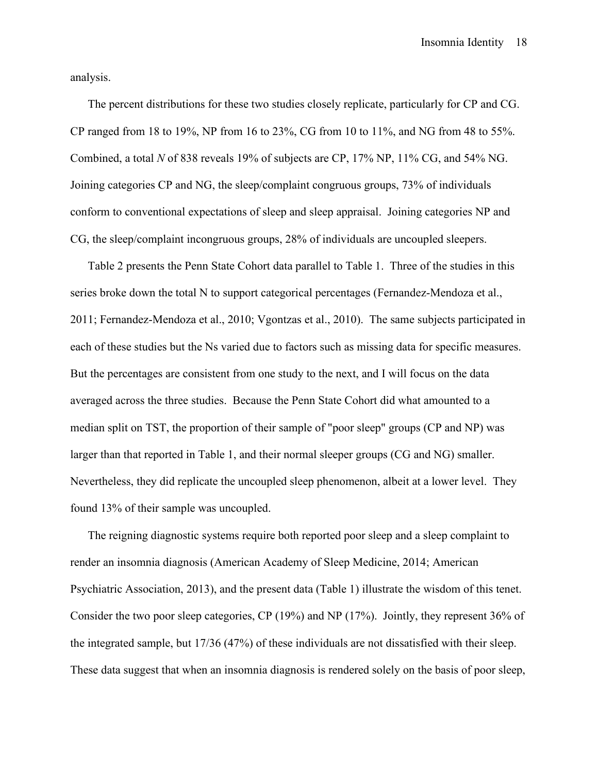analysis.

The percent distributions for these two studies closely replicate, particularly for CP and CG. CP ranged from 18 to 19%, NP from 16 to 23%, CG from 10 to 11%, and NG from 48 to 55%. Combined, a total *N* of 838 reveals 19% of subjects are CP, 17% NP, 11% CG, and 54% NG. Joining categories CP and NG, the sleep/complaint congruous groups, 73% of individuals conform to conventional expectations of sleep and sleep appraisal. Joining categories NP and CG, the sleep/complaint incongruous groups, 28% of individuals are uncoupled sleepers.

Table 2 presents the Penn State Cohort data parallel to Table 1. Three of the studies in this series broke down the total N to support categorical percentages (Fernandez-Mendoza et al., 2011; Fernandez-Mendoza et al., 2010; Vgontzas et al., 2010). The same subjects participated in each of these studies but the Ns varied due to factors such as missing data for specific measures. But the percentages are consistent from one study to the next, and I will focus on the data averaged across the three studies. Because the Penn State Cohort did what amounted to a median split on TST, the proportion of their sample of "poor sleep" groups (CP and NP) was larger than that reported in Table 1, and their normal sleeper groups (CG and NG) smaller. Nevertheless, they did replicate the uncoupled sleep phenomenon, albeit at a lower level. They found 13% of their sample was uncoupled.

The reigning diagnostic systems require both reported poor sleep and a sleep complaint to render an insomnia diagnosis (American Academy of Sleep Medicine, 2014; American Psychiatric Association, 2013), and the present data (Table 1) illustrate the wisdom of this tenet. Consider the two poor sleep categories, CP (19%) and NP (17%). Jointly, they represent 36% of the integrated sample, but 17/36 (47%) of these individuals are not dissatisfied with their sleep. These data suggest that when an insomnia diagnosis is rendered solely on the basis of poor sleep,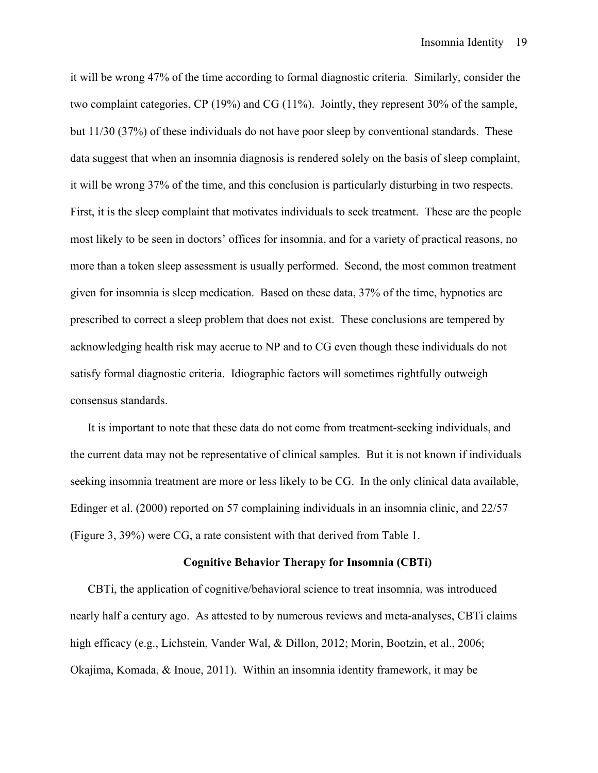it will be wrong 47% of the time according to formal diagnostic criteria. Similarly, consider the two complaint categories, CP (19%) and CG (11%). Jointly, they represent 30% of the sample, but 11/30 (37%) of these individuals do not have poor sleep by conventional standards. These data suggest that when an insomnia diagnosis is rendered solely on the basis of sleep complaint, it will be wrong 37% of the time, and this conclusion is particularly disturbing in two respects. First, it is the sleep complaint that motivates individuals to seek treatment. These are the people most likely to be seen in doctors' offices for insomnia, and for a variety of practical reasons, no more than a token sleep assessment is usually performed. Second, the most common treatment given for insomnia is sleep medication. Based on these data, 37% of the time, hypnotics are prescribed to correct a sleep problem that does not exist. These conclusions are tempered by acknowledging health risk may accrue to NP and to CG even though these individuals do not satisfy formal diagnostic criteria. Idiographic factors will sometimes rightfully outweigh consensus standards.

It is important to note that these data do not come from treatment-seeking individuals, and the current data may not be representative of clinical samples. But it is not known if individuals seeking insomnia treatment are more or less likely to be CG. In the only clinical data available, Edinger et al. (2000) reported on 57 complaining individuals in an insomnia clinic, and 22/57 (Figure 3, 39%) were CG, a rate consistent with that derived from Table 1.

#### **Cognitive Behavior Therapy for Insomnia (CBTi)**

CBTi, the application of cognitive/behavioral science to treat insomnia, was introduced nearly half a century ago. As attested to by numerous reviews and meta-analyses, CBTi claims high efficacy (e.g., Lichstein, Vander Wal, & Dillon, 2012; Morin, Bootzin, et al., 2006; Okajima, Komada, & Inoue, 2011). Within an insomnia identity framework, it may be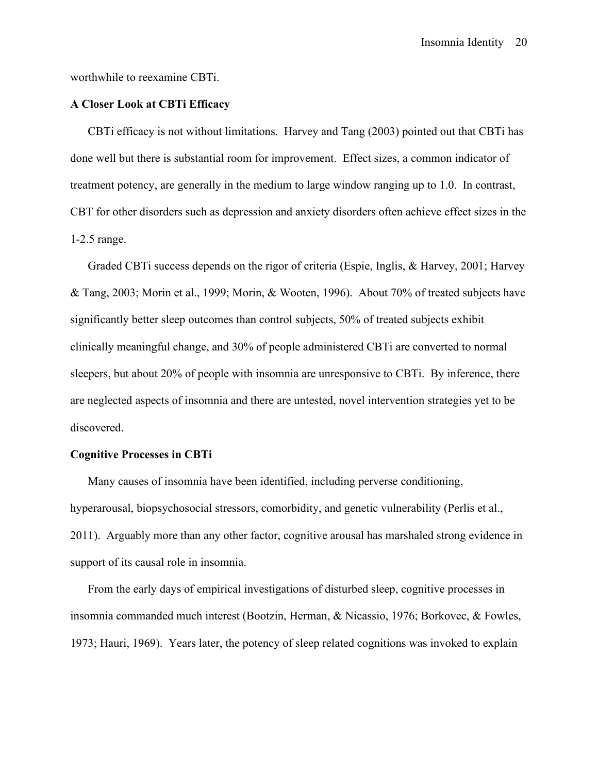worthwhile to reexamine CBTi.

## **A Closer Look at CBTi Efficacy**

CBTi efficacy is not without limitations. Harvey and Tang (2003) pointed out that CBTi has done well but there is substantial room for improvement. Effect sizes, a common indicator of treatment potency, are generally in the medium to large window ranging up to 1.0. In contrast, CBT for other disorders such as depression and anxiety disorders often achieve effect sizes in the 1-2.5 range.

Graded CBTi success depends on the rigor of criteria (Espie, Inglis, & Harvey, 2001; Harvey & Tang, 2003; Morin et al., 1999; Morin, & Wooten, 1996). About 70% of treated subjects have significantly better sleep outcomes than control subjects, 50% of treated subjects exhibit clinically meaningful change, and 30% of people administered CBTi are converted to normal sleepers, but about 20% of people with insomnia are unresponsive to CBTi. By inference, there are neglected aspects of insomnia and there are untested, novel intervention strategies yet to be discovered.

## **Cognitive Processes in CBTi**

Many causes of insomnia have been identified, including perverse conditioning, hyperarousal, biopsychosocial stressors, comorbidity, and genetic vulnerability (Perlis et al., 2011). Arguably more than any other factor, cognitive arousal has marshaled strong evidence in support of its causal role in insomnia.

From the early days of empirical investigations of disturbed sleep, cognitive processes in insomnia commanded much interest (Bootzin, Herman, & Nicassio, 1976; Borkovec, & Fowles, 1973; Hauri, 1969). Years later, the potency of sleep related cognitions was invoked to explain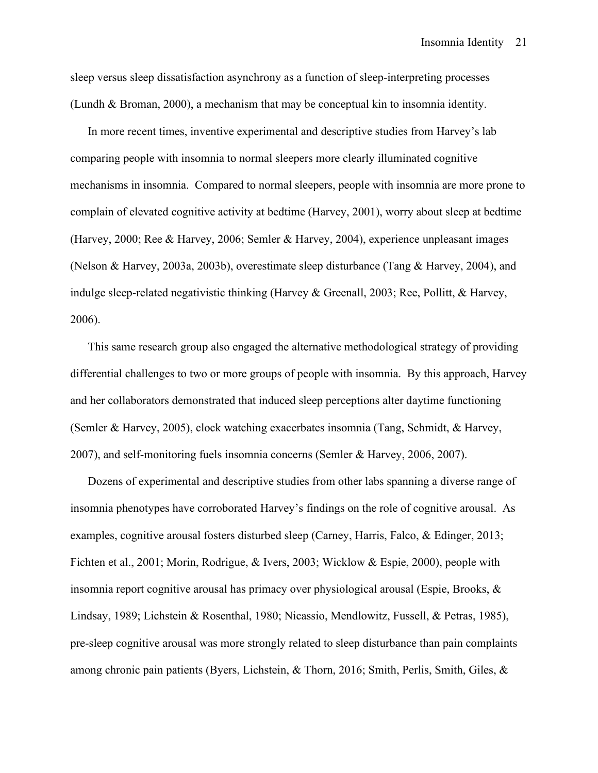sleep versus sleep dissatisfaction asynchrony as a function of sleep-interpreting processes (Lundh & Broman, 2000), a mechanism that may be conceptual kin to insomnia identity.

In more recent times, inventive experimental and descriptive studies from Harvey's lab comparing people with insomnia to normal sleepers more clearly illuminated cognitive mechanisms in insomnia. Compared to normal sleepers, people with insomnia are more prone to complain of elevated cognitive activity at bedtime (Harvey, 2001), worry about sleep at bedtime (Harvey, 2000; Ree & Harvey, 2006; Semler & Harvey, 2004), experience unpleasant images (Nelson & Harvey, 2003a, 2003b), overestimate sleep disturbance (Tang & Harvey, 2004), and indulge sleep-related negativistic thinking (Harvey & Greenall, 2003; Ree, Pollitt, & Harvey, 2006).

This same research group also engaged the alternative methodological strategy of providing differential challenges to two or more groups of people with insomnia. By this approach, Harvey and her collaborators demonstrated that induced sleep perceptions alter daytime functioning (Semler & Harvey, 2005), clock watching exacerbates insomnia (Tang, Schmidt, & Harvey, 2007), and self-monitoring fuels insomnia concerns (Semler & Harvey, 2006, 2007).

Dozens of experimental and descriptive studies from other labs spanning a diverse range of insomnia phenotypes have corroborated Harvey's findings on the role of cognitive arousal. As examples, cognitive arousal fosters disturbed sleep (Carney, Harris, Falco, & Edinger, 2013; Fichten et al., 2001; Morin, Rodrigue, & Ivers, 2003; Wicklow & Espie, 2000), people with insomnia report cognitive arousal has primacy over physiological arousal (Espie, Brooks, & Lindsay, 1989; Lichstein & Rosenthal, 1980; Nicassio, Mendlowitz, Fussell, & Petras, 1985), pre-sleep cognitive arousal was more strongly related to sleep disturbance than pain complaints among chronic pain patients (Byers, Lichstein, & Thorn, 2016; Smith, Perlis, Smith, Giles, &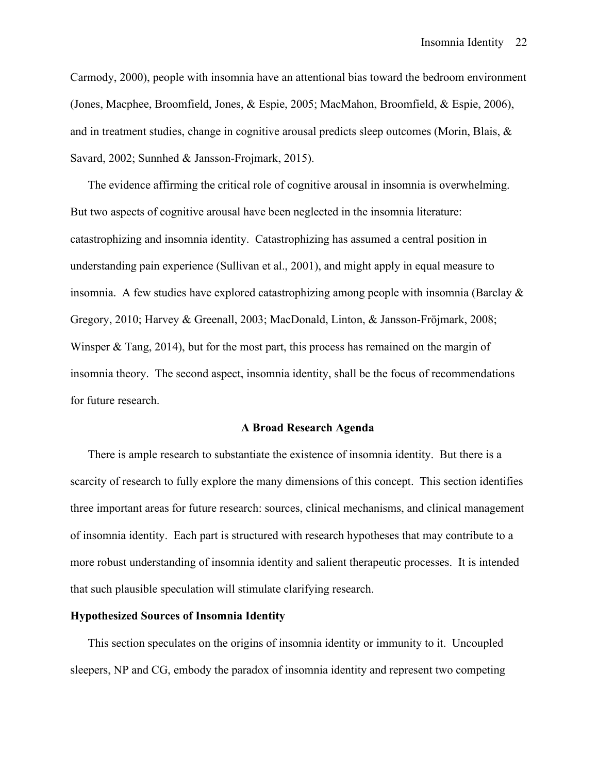Carmody, 2000), people with insomnia have an attentional bias toward the bedroom environment (Jones, Macphee, Broomfield, Jones, & Espie, 2005; MacMahon, Broomfield, & Espie, 2006), and in treatment studies, change in cognitive arousal predicts sleep outcomes (Morin, Blais, & Savard, 2002; Sunnhed & Jansson-Frojmark, 2015).

The evidence affirming the critical role of cognitive arousal in insomnia is overwhelming. But two aspects of cognitive arousal have been neglected in the insomnia literature: catastrophizing and insomnia identity. Catastrophizing has assumed a central position in understanding pain experience (Sullivan et al., 2001), and might apply in equal measure to insomnia. A few studies have explored catastrophizing among people with insomnia (Barclay & Gregory, 2010; Harvey & Greenall, 2003; MacDonald, Linton, & Jansson-Fröjmark, 2008; Winsper & Tang, 2014), but for the most part, this process has remained on the margin of insomnia theory. The second aspect, insomnia identity, shall be the focus of recommendations for future research.

### **A Broad Research Agenda**

There is ample research to substantiate the existence of insomnia identity. But there is a scarcity of research to fully explore the many dimensions of this concept. This section identifies three important areas for future research: sources, clinical mechanisms, and clinical management of insomnia identity. Each part is structured with research hypotheses that may contribute to a more robust understanding of insomnia identity and salient therapeutic processes. It is intended that such plausible speculation will stimulate clarifying research.

## **Hypothesized Sources of Insomnia Identity**

This section speculates on the origins of insomnia identity or immunity to it. Uncoupled sleepers, NP and CG, embody the paradox of insomnia identity and represent two competing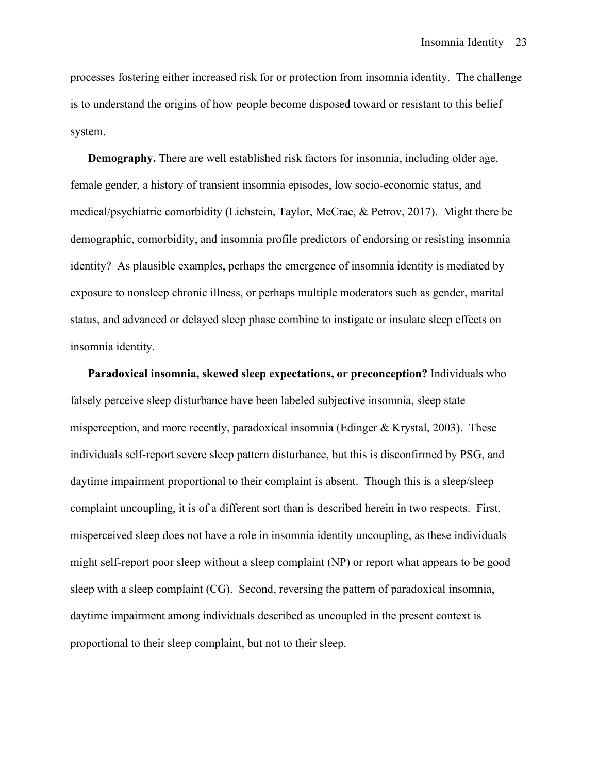processes fostering either increased risk for or protection from insomnia identity. The challenge is to understand the origins of how people become disposed toward or resistant to this belief system.

**Demography.** There are well established risk factors for insomnia, including older age, female gender, a history of transient insomnia episodes, low socio-economic status, and medical/psychiatric comorbidity (Lichstein, Taylor, McCrae, & Petrov, 2017). Might there be demographic, comorbidity, and insomnia profile predictors of endorsing or resisting insomnia identity? As plausible examples, perhaps the emergence of insomnia identity is mediated by exposure to nonsleep chronic illness, or perhaps multiple moderators such as gender, marital status, and advanced or delayed sleep phase combine to instigate or insulate sleep effects on insomnia identity.

**Paradoxical insomnia, skewed sleep expectations, or preconception?** Individuals who falsely perceive sleep disturbance have been labeled subjective insomnia, sleep state misperception, and more recently, paradoxical insomnia (Edinger & Krystal, 2003). These individuals self-report severe sleep pattern disturbance, but this is disconfirmed by PSG, and daytime impairment proportional to their complaint is absent. Though this is a sleep/sleep complaint uncoupling, it is of a different sort than is described herein in two respects. First, misperceived sleep does not have a role in insomnia identity uncoupling, as these individuals might self-report poor sleep without a sleep complaint (NP) or report what appears to be good sleep with a sleep complaint (CG). Second, reversing the pattern of paradoxical insomnia, daytime impairment among individuals described as uncoupled in the present context is proportional to their sleep complaint, but not to their sleep.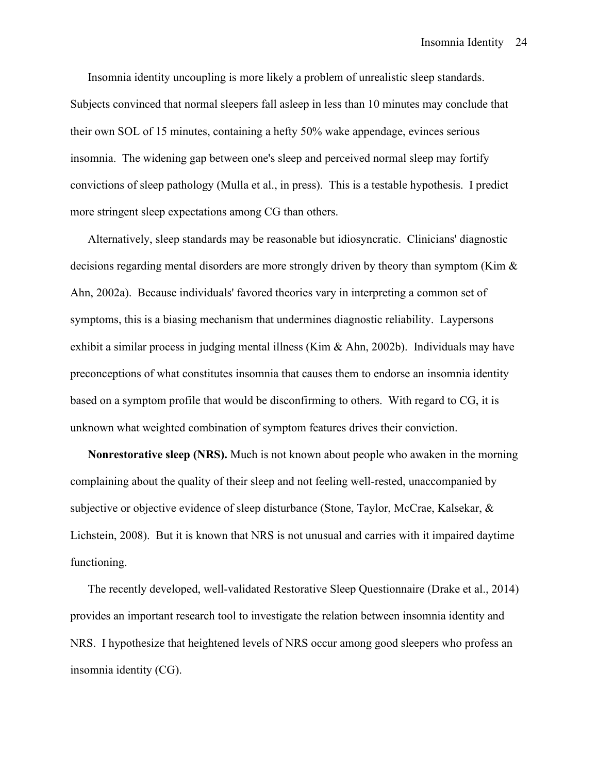Insomnia identity uncoupling is more likely a problem of unrealistic sleep standards. Subjects convinced that normal sleepers fall asleep in less than 10 minutes may conclude that their own SOL of 15 minutes, containing a hefty 50% wake appendage, evinces serious insomnia. The widening gap between one's sleep and perceived normal sleep may fortify convictions of sleep pathology (Mulla et al., in press). This is a testable hypothesis. I predict more stringent sleep expectations among CG than others.

Alternatively, sleep standards may be reasonable but idiosyncratic. Clinicians' diagnostic decisions regarding mental disorders are more strongly driven by theory than symptom (Kim & Ahn, 2002a). Because individuals' favored theories vary in interpreting a common set of symptoms, this is a biasing mechanism that undermines diagnostic reliability. Laypersons exhibit a similar process in judging mental illness (Kim & Ahn, 2002b). Individuals may have preconceptions of what constitutes insomnia that causes them to endorse an insomnia identity based on a symptom profile that would be disconfirming to others. With regard to CG, it is unknown what weighted combination of symptom features drives their conviction.

**Nonrestorative sleep (NRS).** Much is not known about people who awaken in the morning complaining about the quality of their sleep and not feeling well-rested, unaccompanied by subjective or objective evidence of sleep disturbance (Stone, Taylor, McCrae, Kalsekar, & Lichstein, 2008). But it is known that NRS is not unusual and carries with it impaired daytime functioning.

The recently developed, well-validated Restorative Sleep Questionnaire (Drake et al., 2014) provides an important research tool to investigate the relation between insomnia identity and NRS. I hypothesize that heightened levels of NRS occur among good sleepers who profess an insomnia identity (CG).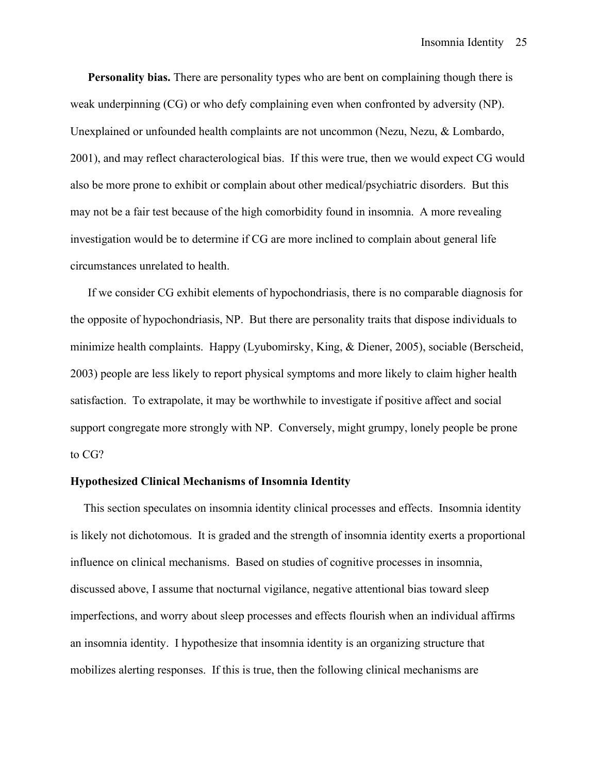**Personality bias.** There are personality types who are bent on complaining though there is weak underpinning (CG) or who defy complaining even when confronted by adversity (NP). Unexplained or unfounded health complaints are not uncommon (Nezu, Nezu, & Lombardo, 2001), and may reflect characterological bias. If this were true, then we would expect CG would also be more prone to exhibit or complain about other medical/psychiatric disorders. But this may not be a fair test because of the high comorbidity found in insomnia. A more revealing investigation would be to determine if CG are more inclined to complain about general life circumstances unrelated to health.

If we consider CG exhibit elements of hypochondriasis, there is no comparable diagnosis for the opposite of hypochondriasis, NP. But there are personality traits that dispose individuals to minimize health complaints. Happy (Lyubomirsky, King, & Diener, 2005), sociable (Berscheid, 2003) people are less likely to report physical symptoms and more likely to claim higher health satisfaction. To extrapolate, it may be worthwhile to investigate if positive affect and social support congregate more strongly with NP. Conversely, might grumpy, lonely people be prone to CG?

## **Hypothesized Clinical Mechanisms of Insomnia Identity**

This section speculates on insomnia identity clinical processes and effects. Insomnia identity is likely not dichotomous. It is graded and the strength of insomnia identity exerts a proportional influence on clinical mechanisms. Based on studies of cognitive processes in insomnia, discussed above, I assume that nocturnal vigilance, negative attentional bias toward sleep imperfections, and worry about sleep processes and effects flourish when an individual affirms an insomnia identity. I hypothesize that insomnia identity is an organizing structure that mobilizes alerting responses. If this is true, then the following clinical mechanisms are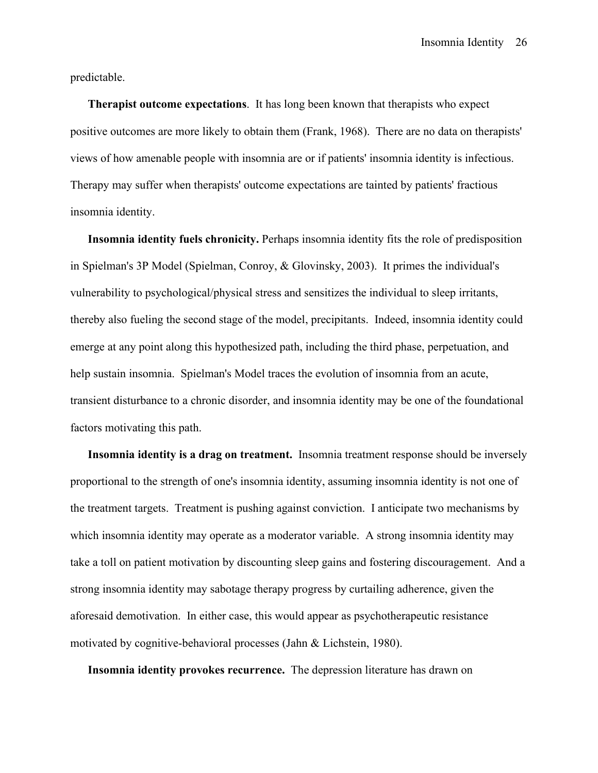predictable.

**Therapist outcome expectations**. It has long been known that therapists who expect positive outcomes are more likely to obtain them (Frank, 1968). There are no data on therapists' views of how amenable people with insomnia are or if patients' insomnia identity is infectious. Therapy may suffer when therapists' outcome expectations are tainted by patients' fractious insomnia identity.

**Insomnia identity fuels chronicity.** Perhaps insomnia identity fits the role of predisposition in Spielman's 3P Model (Spielman, Conroy, & Glovinsky, 2003). It primes the individual's vulnerability to psychological/physical stress and sensitizes the individual to sleep irritants, thereby also fueling the second stage of the model, precipitants. Indeed, insomnia identity could emerge at any point along this hypothesized path, including the third phase, perpetuation, and help sustain insomnia. Spielman's Model traces the evolution of insomnia from an acute, transient disturbance to a chronic disorder, and insomnia identity may be one of the foundational factors motivating this path.

**Insomnia identity is a drag on treatment.** Insomnia treatment response should be inversely proportional to the strength of one's insomnia identity, assuming insomnia identity is not one of the treatment targets. Treatment is pushing against conviction. I anticipate two mechanisms by which insomnia identity may operate as a moderator variable. A strong insomnia identity may take a toll on patient motivation by discounting sleep gains and fostering discouragement. And a strong insomnia identity may sabotage therapy progress by curtailing adherence, given the aforesaid demotivation. In either case, this would appear as psychotherapeutic resistance motivated by cognitive-behavioral processes (Jahn & Lichstein, 1980).

**Insomnia identity provokes recurrence.** The depression literature has drawn on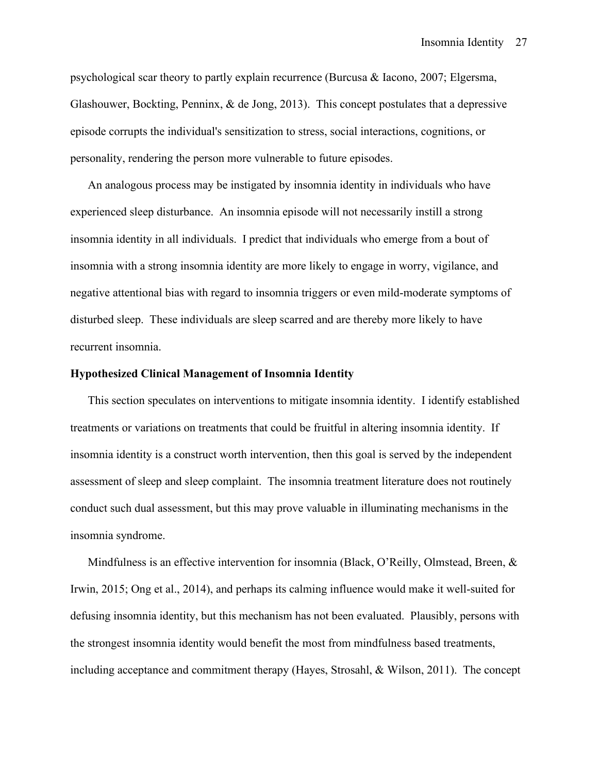psychological scar theory to partly explain recurrence (Burcusa & Iacono, 2007; Elgersma, Glashouwer, Bockting, Penninx, & de Jong, 2013). This concept postulates that a depressive episode corrupts the individual's sensitization to stress, social interactions, cognitions, or personality, rendering the person more vulnerable to future episodes.

An analogous process may be instigated by insomnia identity in individuals who have experienced sleep disturbance. An insomnia episode will not necessarily instill a strong insomnia identity in all individuals. I predict that individuals who emerge from a bout of insomnia with a strong insomnia identity are more likely to engage in worry, vigilance, and negative attentional bias with regard to insomnia triggers or even mild-moderate symptoms of disturbed sleep. These individuals are sleep scarred and are thereby more likely to have recurrent insomnia.

## **Hypothesized Clinical Management of Insomnia Identity**

This section speculates on interventions to mitigate insomnia identity. I identify established treatments or variations on treatments that could be fruitful in altering insomnia identity. If insomnia identity is a construct worth intervention, then this goal is served by the independent assessment of sleep and sleep complaint. The insomnia treatment literature does not routinely conduct such dual assessment, but this may prove valuable in illuminating mechanisms in the insomnia syndrome.

Mindfulness is an effective intervention for insomnia (Black, O'Reilly, Olmstead, Breen, & Irwin, 2015; Ong et al., 2014), and perhaps its calming influence would make it well-suited for defusing insomnia identity, but this mechanism has not been evaluated. Plausibly, persons with the strongest insomnia identity would benefit the most from mindfulness based treatments, including acceptance and commitment therapy (Hayes, Strosahl, & Wilson, 2011). The concept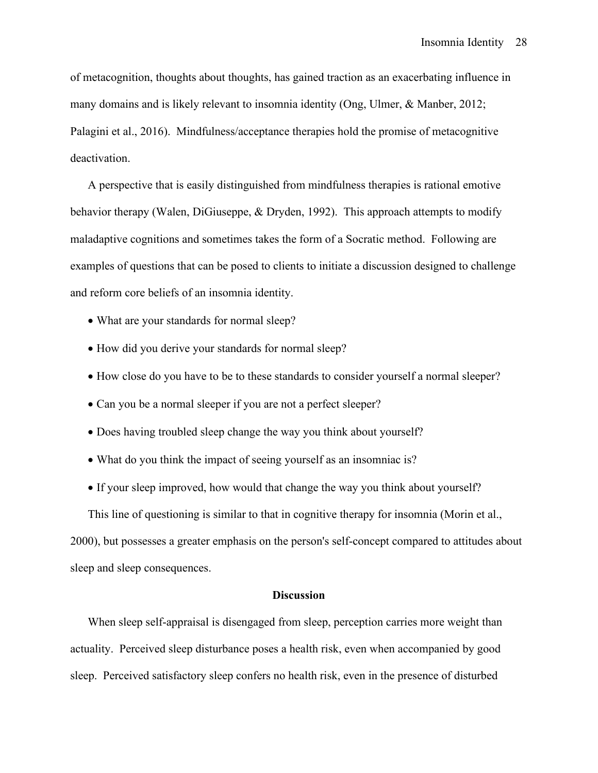of metacognition, thoughts about thoughts, has gained traction as an exacerbating influence in many domains and is likely relevant to insomnia identity (Ong, Ulmer, & Manber, 2012; Palagini et al., 2016). Mindfulness/acceptance therapies hold the promise of metacognitive deactivation.

A perspective that is easily distinguished from mindfulness therapies is rational emotive behavior therapy (Walen, DiGiuseppe, & Dryden, 1992). This approach attempts to modify maladaptive cognitions and sometimes takes the form of a Socratic method. Following are examples of questions that can be posed to clients to initiate a discussion designed to challenge and reform core beliefs of an insomnia identity.

- What are your standards for normal sleep?
- How did you derive your standards for normal sleep?
- How close do you have to be to these standards to consider yourself a normal sleeper?
- Can you be a normal sleeper if you are not a perfect sleeper?
- Does having troubled sleep change the way you think about yourself?
- What do you think the impact of seeing yourself as an insomniac is?
- If your sleep improved, how would that change the way you think about yourself?

This line of questioning is similar to that in cognitive therapy for insomnia (Morin et al., 2000), but possesses a greater emphasis on the person's self-concept compared to attitudes about sleep and sleep consequences.

### **Discussion**

When sleep self-appraisal is disengaged from sleep, perception carries more weight than actuality. Perceived sleep disturbance poses a health risk, even when accompanied by good sleep. Perceived satisfactory sleep confers no health risk, even in the presence of disturbed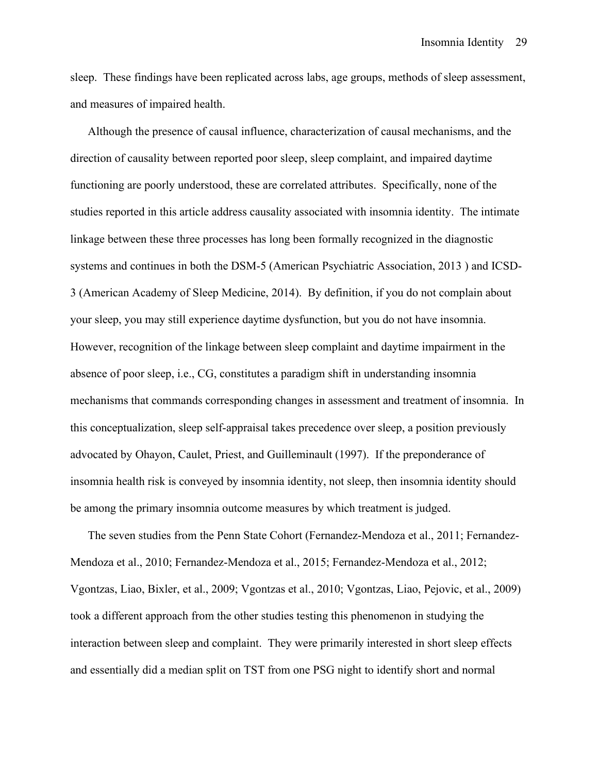sleep. These findings have been replicated across labs, age groups, methods of sleep assessment, and measures of impaired health.

Although the presence of causal influence, characterization of causal mechanisms, and the direction of causality between reported poor sleep, sleep complaint, and impaired daytime functioning are poorly understood, these are correlated attributes. Specifically, none of the studies reported in this article address causality associated with insomnia identity. The intimate linkage between these three processes has long been formally recognized in the diagnostic systems and continues in both the DSM-5 (American Psychiatric Association, 2013 ) and ICSD-3 (American Academy of Sleep Medicine, 2014). By definition, if you do not complain about your sleep, you may still experience daytime dysfunction, but you do not have insomnia. However, recognition of the linkage between sleep complaint and daytime impairment in the absence of poor sleep, i.e., CG, constitutes a paradigm shift in understanding insomnia mechanisms that commands corresponding changes in assessment and treatment of insomnia. In this conceptualization, sleep self-appraisal takes precedence over sleep, a position previously advocated by Ohayon, Caulet, Priest, and Guilleminault (1997). If the preponderance of insomnia health risk is conveyed by insomnia identity, not sleep, then insomnia identity should be among the primary insomnia outcome measures by which treatment is judged.

The seven studies from the Penn State Cohort (Fernandez-Mendoza et al., 2011; Fernandez-Mendoza et al., 2010; Fernandez-Mendoza et al., 2015; Fernandez-Mendoza et al., 2012; Vgontzas, Liao, Bixler, et al., 2009; Vgontzas et al., 2010; Vgontzas, Liao, Pejovic, et al., 2009) took a different approach from the other studies testing this phenomenon in studying the interaction between sleep and complaint. They were primarily interested in short sleep effects and essentially did a median split on TST from one PSG night to identify short and normal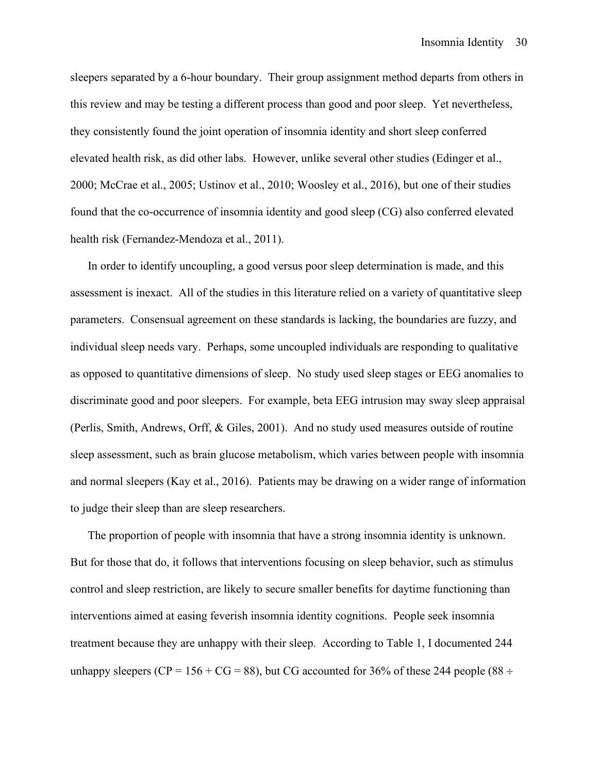sleepers separated by a 6-hour boundary. Their group assignment method departs from others in this review and may be testing a different process than good and poor sleep. Yet nevertheless, they consistently found the joint operation of insomnia identity and short sleep conferred elevated health risk, as did other labs. However, unlike several other studies (Edinger et al., 2000; McCrae et al., 2005; Ustinov et al., 2010; Woosley et al., 2016), but one of their studies found that the co-occurrence of insomnia identity and good sleep (CG) also conferred elevated health risk (Fernandez-Mendoza et al., 2011).

In order to identify uncoupling, a good versus poor sleep determination is made, and this assessment is inexact. All of the studies in this literature relied on a variety of quantitative sleep parameters. Consensual agreement on these standards is lacking, the boundaries are fuzzy, and individual sleep needs vary. Perhaps, some uncoupled individuals are responding to qualitative as opposed to quantitative dimensions of sleep. No study used sleep stages or EEG anomalies to discriminate good and poor sleepers. For example, beta EEG intrusion may sway sleep appraisal (Perlis, Smith, Andrews, Orff, & Giles, 2001). And no study used measures outside of routine sleep assessment, such as brain glucose metabolism, which varies between people with insomnia and normal sleepers (Kay et al., 2016). Patients may be drawing on a wider range of information to judge their sleep than are sleep researchers.

The proportion of people with insomnia that have a strong insomnia identity is unknown. But for those that do, it follows that interventions focusing on sleep behavior, such as stimulus control and sleep restriction, are likely to secure smaller benefits for daytime functioning than interventions aimed at easing feverish insomnia identity cognitions. People seek insomnia treatment because they are unhappy with their sleep. According to Table 1, I documented 244 unhappy sleepers (CP = 156 + CG = 88), but CG accounted for 36% of these 244 people (88  $\div$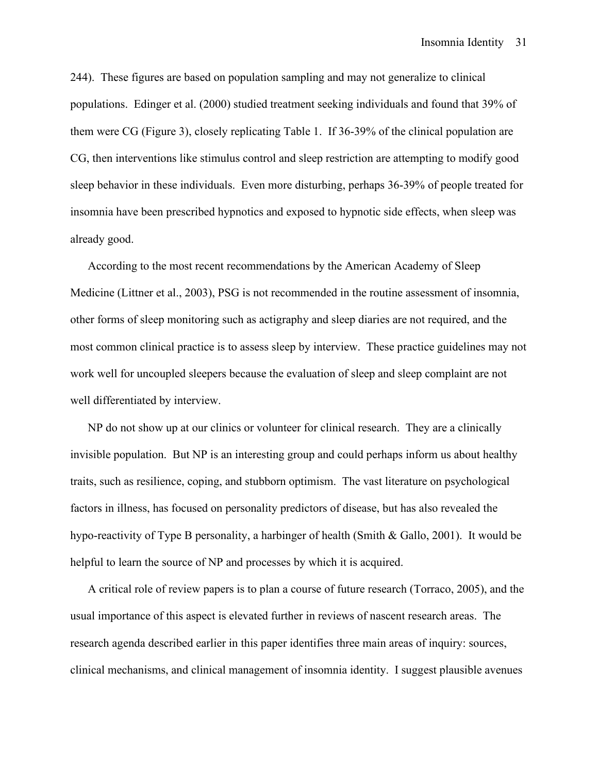244). These figures are based on population sampling and may not generalize to clinical populations. Edinger et al. (2000) studied treatment seeking individuals and found that 39% of them were CG (Figure 3), closely replicating Table 1. If 36-39% of the clinical population are CG, then interventions like stimulus control and sleep restriction are attempting to modify good sleep behavior in these individuals. Even more disturbing, perhaps 36-39% of people treated for insomnia have been prescribed hypnotics and exposed to hypnotic side effects, when sleep was already good.

According to the most recent recommendations by the American Academy of Sleep Medicine (Littner et al., 2003), PSG is not recommended in the routine assessment of insomnia, other forms of sleep monitoring such as actigraphy and sleep diaries are not required, and the most common clinical practice is to assess sleep by interview. These practice guidelines may not work well for uncoupled sleepers because the evaluation of sleep and sleep complaint are not well differentiated by interview.

NP do not show up at our clinics or volunteer for clinical research. They are a clinically invisible population. But NP is an interesting group and could perhaps inform us about healthy traits, such as resilience, coping, and stubborn optimism. The vast literature on psychological factors in illness, has focused on personality predictors of disease, but has also revealed the hypo-reactivity of Type B personality, a harbinger of health (Smith & Gallo, 2001). It would be helpful to learn the source of NP and processes by which it is acquired.

A critical role of review papers is to plan a course of future research (Torraco, 2005), and the usual importance of this aspect is elevated further in reviews of nascent research areas. The research agenda described earlier in this paper identifies three main areas of inquiry: sources, clinical mechanisms, and clinical management of insomnia identity. I suggest plausible avenues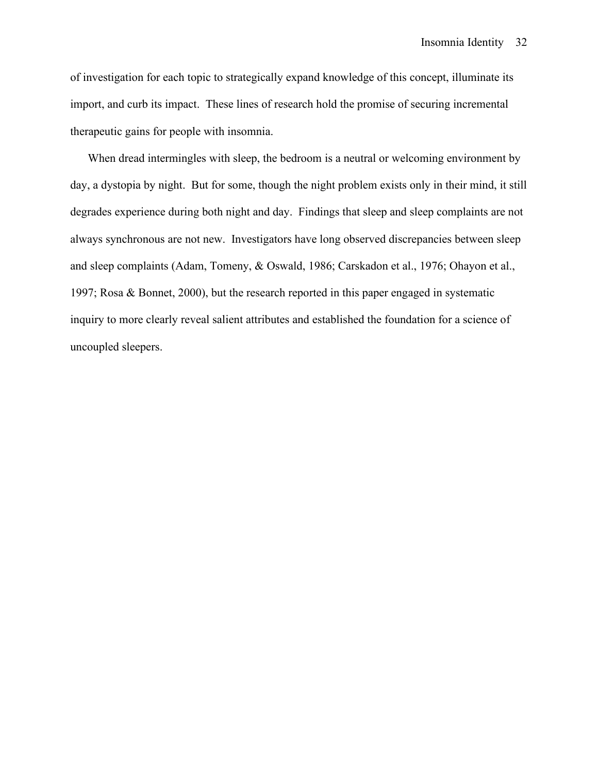of investigation for each topic to strategically expand knowledge of this concept, illuminate its import, and curb its impact. These lines of research hold the promise of securing incremental therapeutic gains for people with insomnia.

When dread intermingles with sleep, the bedroom is a neutral or welcoming environment by day, a dystopia by night. But for some, though the night problem exists only in their mind, it still degrades experience during both night and day. Findings that sleep and sleep complaints are not always synchronous are not new. Investigators have long observed discrepancies between sleep and sleep complaints (Adam, Tomeny, & Oswald, 1986; Carskadon et al., 1976; Ohayon et al., 1997; Rosa & Bonnet, 2000), but the research reported in this paper engaged in systematic inquiry to more clearly reveal salient attributes and established the foundation for a science of uncoupled sleepers.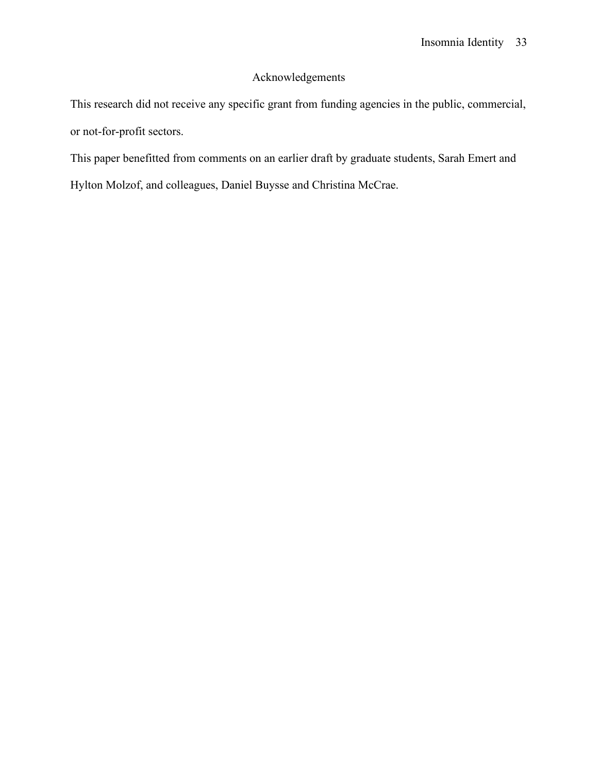## Acknowledgements

This research did not receive any specific grant from funding agencies in the public, commercial, or not-for-profit sectors.

This paper benefitted from comments on an earlier draft by graduate students, Sarah Emert and

Hylton Molzof, and colleagues, Daniel Buysse and Christina McCrae.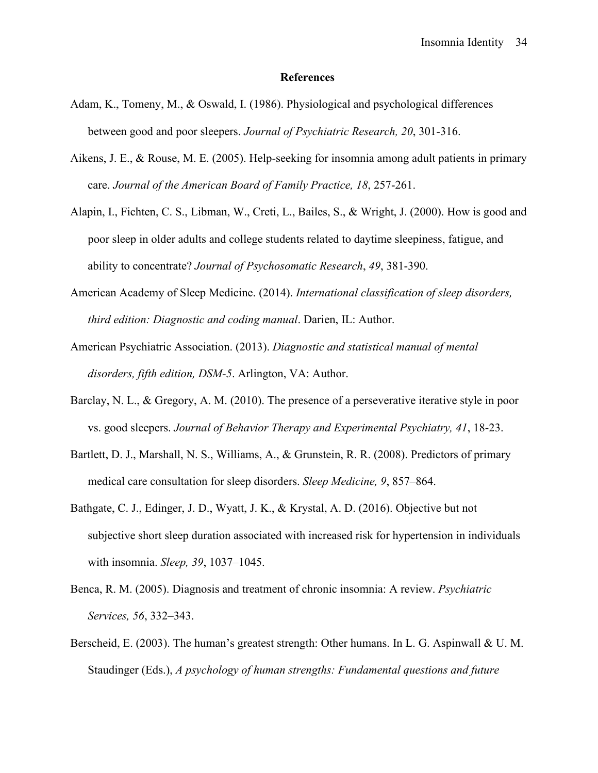## **References**

- Adam, K., Tomeny, M., & Oswald, I. (1986). Physiological and psychological differences between good and poor sleepers. *Journal of Psychiatric Research, 20*, 301-316.
- Aikens, J. E., & Rouse, M. E. (2005). Help-seeking for insomnia among adult patients in primary care. *Journal of the American Board of Family Practice, 18*, 257-261.
- Alapin, I., Fichten, C. S., Libman, W., Creti, L., Bailes, S., & Wright, J. (2000). How is good and poor sleep in older adults and college students related to daytime sleepiness, fatigue, and ability to concentrate? *Journal of Psychosomatic Research*, *49*, 381-390.
- American Academy of Sleep Medicine. (2014). *International classification of sleep disorders, third edition: Diagnostic and coding manual*. Darien, IL: Author.
- American Psychiatric Association. (2013). *Diagnostic and statistical manual of mental disorders, fifth edition, DSM-5*. Arlington, VA: Author.
- Barclay, N. L., & Gregory, A. M. (2010). [The presence of a perseverative iterative style in poor](http://eds.b.ebscohost.com/ehost/viewarticle?data=dGJyMPPp44rp2%2fdV0%2bnjisfk5Ie46bJNt6q3Ta%2bk63nn5Kx95uXxjL6orUq0pbBIr6ueS7irs1KzrJ5oy5zyit%2fk8Xnh6ueH7N%2fiVaunrk6xrK9Irq62PurX7H%2b72%2bw%2b4ti7iPHv5j7y1%2bVVv8SkeeyzsEiur6tJs66zS6umrkmk3O2K69fyVeTr6oTy2%2faM&hid=117)  [vs. good sleepers.](http://eds.b.ebscohost.com/ehost/viewarticle?data=dGJyMPPp44rp2%2fdV0%2bnjisfk5Ie46bJNt6q3Ta%2bk63nn5Kx95uXxjL6orUq0pbBIr6ueS7irs1KzrJ5oy5zyit%2fk8Xnh6ueH7N%2fiVaunrk6xrK9Irq62PurX7H%2b72%2bw%2b4ti7iPHv5j7y1%2bVVv8SkeeyzsEiur6tJs66zS6umrkmk3O2K69fyVeTr6oTy2%2faM&hid=117) *Journal of Behavior Therapy and Experimental Psychiatry, 41*, 18-23.
- Bartlett, D. J., Marshall, N. S., Williams, A., & Grunstein, R. R. (2008). Predictors of primary medical care consultation for sleep disorders. *Sleep Medicine, 9*, 857–864.
- Bathgate, C. J., Edinger, J. D., Wyatt, J. K., & Krystal, A. D. (2016). Objective but not subjective short sleep duration associated with increased risk for hypertension in individuals with insomnia. *Sleep, 39*, 1037–1045.
- Benca, R. M. (2005). Diagnosis and treatment of chronic insomnia: A review. *Psychiatric Services, 56*, 332–343.
- Berscheid, E. (2003). The human's greatest strength: Other humans. In L. G. Aspinwall & U. M. Staudinger (Eds.), *A psychology of human strengths: Fundamental questions and future*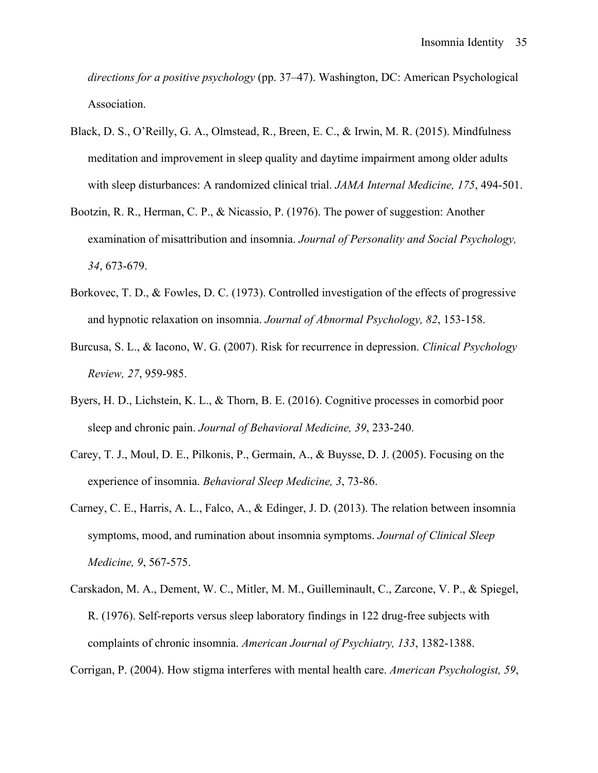*directions for a positive psychology* (pp. 37–47). Washington, DC: American Psychological Association.

- Black, D. S., O'Reilly, G. A., Olmstead, R., Breen, E. C., & Irwin, M. R. (2015). Mindfulness meditation and improvement in sleep quality and daytime impairment among older adults with sleep disturbances: A randomized clinical trial. *JAMA Internal Medicine, 175*, 494-501.
- Bootzin, R. R., Herman, C. P., & Nicassio, P. (1976). The power of suggestion: Another examination of misattribution and insomnia. *Journal of Personality and Social Psychology, 34*, 673-679.
- Borkovec, T. D., & Fowles, D. C. (1973). Controlled investigation of the effects of progressive and hypnotic relaxation on insomnia. *Journal of Abnormal Psychology, 82*, 153-158.
- Burcusa, S. L., & Iacono, W. G. (2007). Risk for recurrence in depression. *Clinical Psychology Review, 27*, 959-985.
- Byers, H. D., Lichstein, K. L., & Thorn, B. E. (2016). Cognitive processes in comorbid poor sleep and chronic pain. *Journal of Behavioral Medicine, 39*, 233-240.
- Carey, T. J., Moul, D. E., Pilkonis, P., Germain, A., & Buysse, D. J. (2005). Focusing on the experience of insomnia. *Behavioral Sleep Medicine, 3*, 73-86.
- Carney, C. E., Harris, A. L., Falco, A., & Edinger, J. D. (2013). The relation between insomnia symptoms, mood, and rumination about insomnia symptoms. *Journal of Clinical Sleep Medicine, 9*, 567-575.
- Carskadon, M. A., Dement, W. C., Mitler, M. M., Guilleminault, C., Zarcone, V. P., & Spiegel, R. (1976). Self-reports versus sleep laboratory findings in 122 drug-free subjects with complaints of chronic insomnia. *American Journal of Psychiatry, 133*, 1382-1388.

Corrigan, P. (2004). How stigma interferes with mental health care. *American Psychologist, 59*,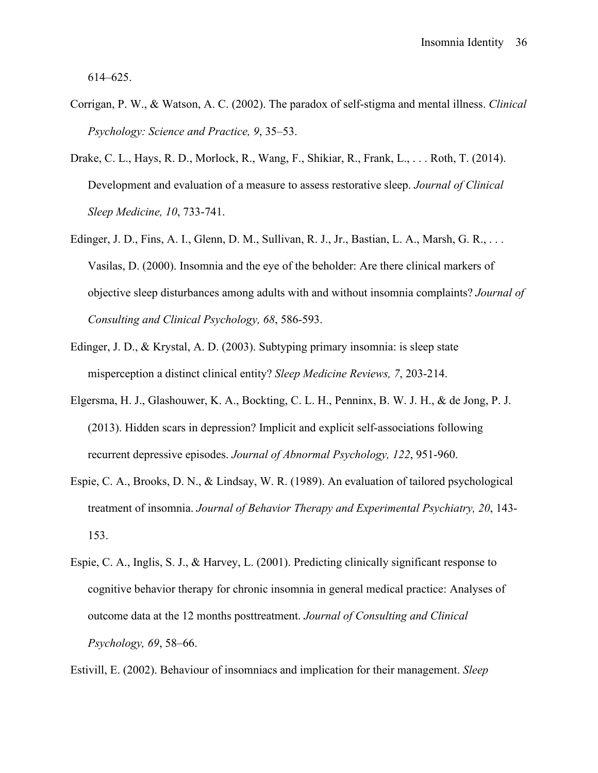614–625.

- Corrigan, P. W., & Watson, A. C. (2002). The paradox of self-stigma and mental illness. *Clinical Psychology: Science and Practice, 9*, 35–53.
- Drake, C. L., Hays, R. D., Morlock, R., Wang, F., Shikiar, R., Frank, L., . . . Roth, T. (2014). Development and evaluation of a measure to assess restorative sleep. *Journal of Clinical Sleep Medicine, 10*, 733-741.
- Edinger, J. D., Fins, A. I., Glenn, D. M., Sullivan, R. J., Jr., Bastian, L. A., Marsh, G. R., . . . Vasilas, D. (2000). Insomnia and the eye of the beholder: Are there clinical markers of objective sleep disturbances among adults with and without insomnia complaints? *Journal of Consulting and Clinical Psychology, 68*, 586-593.
- Edinger, J. D., & Krystal, A. D. (2003). Subtyping primary insomnia: is sleep state misperception a distinct clinical entity? *Sleep Medicine Reviews, 7*, 203-214.
- Elgersma, H. J., Glashouwer, K. A., Bockting, C. L. H., Penninx, B. W. J. H., & de Jong, P. J. (2013). Hidden scars in depression? Implicit and explicit self-associations following recurrent depressive episodes. *Journal of Abnormal Psychology, 122*, 951-960.
- Espie, C. A., Brooks, D. N., & Lindsay, W. R. (1989). An evaluation of tailored psychological treatment of insomnia. *Journal of Behavior Therapy and Experimental Psychiatry, 20*, 143- 153.
- Espie, C. A., Inglis, S. J., & Harvey, L. (2001). Predicting clinically significant response to cognitive behavior therapy for chronic insomnia in general medical practice: Analyses of outcome data at the 12 months posttreatment. *Journal of Consulting and Clinical Psychology, 69*, 58–66.

Estivill, E. (2002). Behaviour of insomniacs and implication for their management. *Sleep*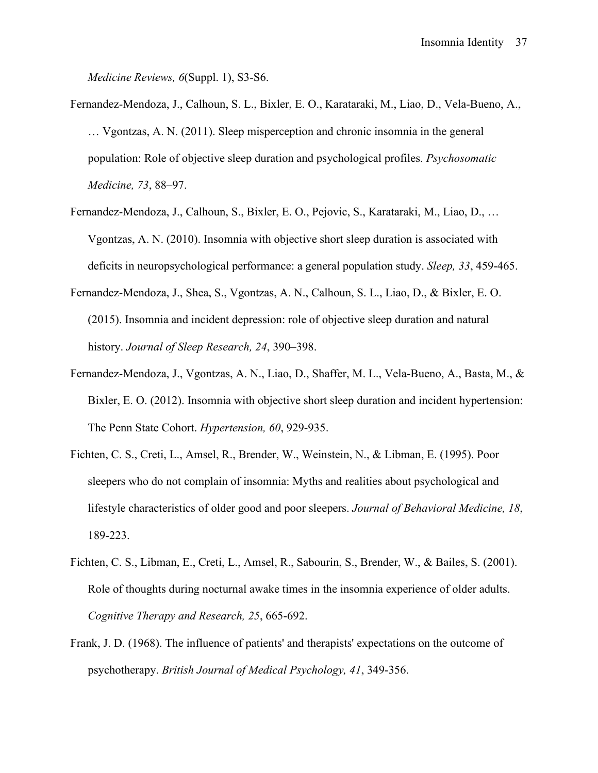*Medicine Reviews, 6*(Suppl. 1), S3-S6.

- Fernandez-Mendoza, J., Calhoun, S. L., Bixler, E. O., Karataraki, M., Liao, D., Vela-Bueno, A., … Vgontzas, A. N. (2011). Sleep misperception and chronic insomnia in the general population: Role of objective sleep duration and psychological profiles. *Psychosomatic Medicine, 73*, 88–97.
- Fernandez-Mendoza, J., Calhoun, S., Bixler, E. O., Pejovic, S., Karataraki, M., Liao, D., … Vgontzas, A. N. (2010). Insomnia with objective short sleep duration is associated with deficits in neuropsychological performance: a general population study. *Sleep, 33*, 459-465.
- Fernandez-Mendoza, J., Shea, S., Vgontzas, A. N., Calhoun, S. L., Liao, D., & Bixler, E. O. (2015). Insomnia and incident depression: role of objective sleep duration and natural history. *Journal of Sleep Research, 24*, 390–398.
- Fernandez-Mendoza, J., Vgontzas, A. N., Liao, D., Shaffer, M. L., Vela-Bueno, A., Basta, M., & Bixler, E. O. (2012). Insomnia with objective short sleep duration and incident hypertension: The Penn State Cohort. *Hypertension, 60*, 929-935.
- Fichten, C. S., Creti, L., Amsel, R., Brender, W., Weinstein, N., & Libman, E. (1995). Poor sleepers who do not complain of insomnia: Myths and realities about psychological and lifestyle characteristics of older good and poor sleepers. *Journal of Behavioral Medicine, 18*, 189-223.
- Fichten, C. S., Libman, E., Creti, L., Amsel, R., Sabourin, S., Brender, W., & Bailes, S. (2001). Role of thoughts during nocturnal awake times in the insomnia experience of older adults. *Cognitive Therapy and Research, 25*, 665-692.
- Frank, J. D. (1968). The influence of patients' and therapists' expectations on the outcome of psychotherapy. *[British Journal of Medical Psychology,](javascript:__doLinkPostBack() 41*, 349-356.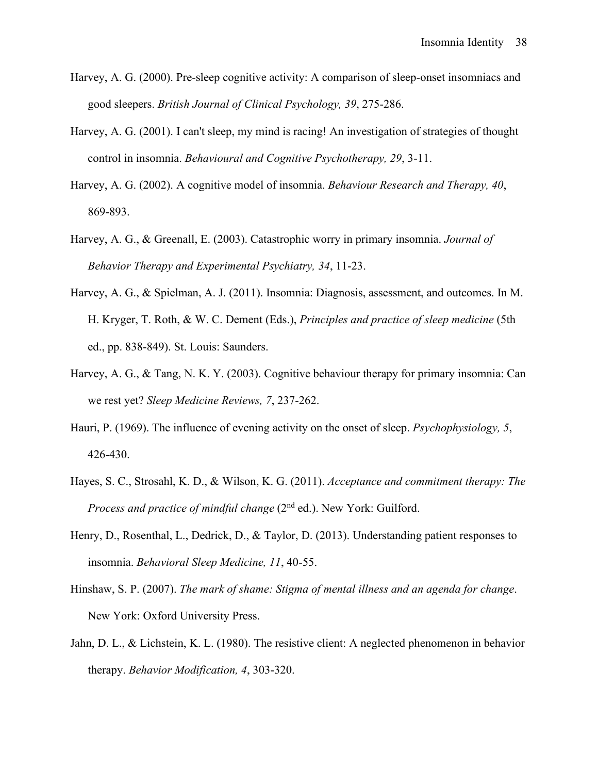- Harvey, A. G. (2000). Pre-sleep cognitive activity: A comparison of sleep-onset insomniacs and good sleepers. *British Journal of Clinical Psychology, 39*, 275-286.
- Harvey, A. G. (2001). I can't sleep, my mind is racing! An investigation of strategies of thought control in insomnia. *Behavioural and Cognitive Psychotherapy, 29*, 3-11.
- Harvey, A. G. (2002). A cognitive model of insomnia. *Behaviour Research and Therapy, 40*, 869-893.
- Harvey, A. G., & Greenall, E. (2003). Catastrophic worry in primary insomnia. *Journal of Behavior Therapy and Experimental Psychiatry, 34*, 11-23.
- Harvey, A. G., & Spielman, A. J. (2011). Insomnia: Diagnosis, assessment, and outcomes. In M. H. Kryger, T. Roth, & W. C. Dement (Eds.), *Principles and practice of sleep medicine* (5th ed., pp. 838-849). St. Louis: Saunders.
- Harvey, A. G., & Tang, N. K. Y. (2003). Cognitive behaviour therapy for primary insomnia: Can we rest yet? *Sleep Medicine Reviews, 7*, 237-262.
- Hauri, P. (1969). The influence of evening activity on the onset of sleep. *Psychophysiology, 5*, 426-430.
- Hayes, S. C., Strosahl, K. D., & Wilson, K. G. (2011). *Acceptance and commitment therapy: The Process and practice of mindful change* (2<sup>nd</sup> ed.). New York: Guilford.
- Henry, D., Rosenthal, L., Dedrick, D., & Taylor, D. (2013). Understanding patient responses to insomnia. *Behavioral Sleep Medicine, 11*, 40-55.
- Hinshaw, S. P. (2007). *The mark of shame: Stigma of mental illness and an agenda for change*. New York: Oxford University Press.
- Jahn, D. L., & Lichstein, K. L. (1980). The resistive client: A neglected phenomenon in behavior therapy. *Behavior Modification, 4*, 303-320.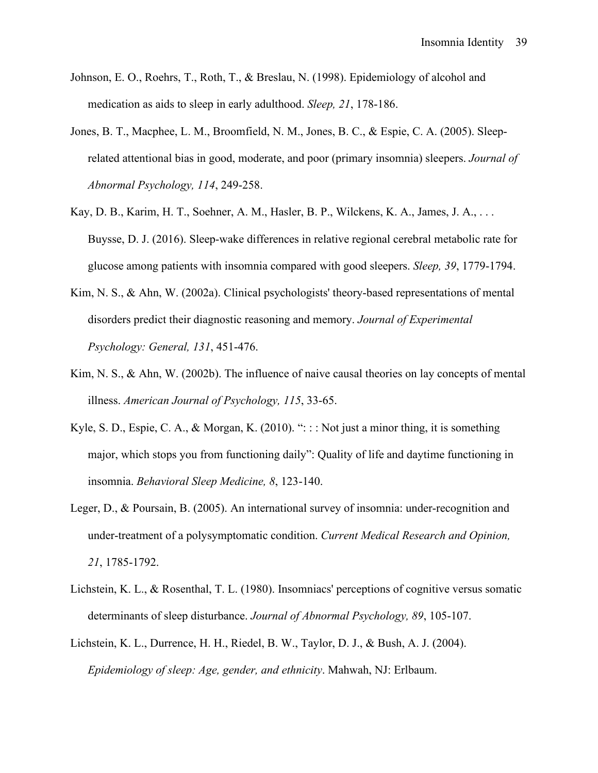- Johnson, E. O., Roehrs, T., Roth, T., & Breslau, N. (1998). Epidemiology of alcohol and medication as aids to sleep in early adulthood. *Sleep, 21*, 178-186.
- Jones, B. T., Macphee, L. M., Broomfield, N. M., Jones, B. C., & Espie, C. A. (2005). Sleeprelated attentional bias in good, moderate, and poor (primary insomnia) sleepers. *Journal of Abnormal Psychology, 114*, 249-258.
- Kay, D. B., Karim, H. T., Soehner, A. M., Hasler, B. P., Wilckens, K. A., James, J. A., . . . Buysse, D. J. (2016). Sleep-wake differences in relative regional cerebral metabolic rate for glucose among patients with insomnia compared with good sleepers. *Sleep, 39*, 1779-1794.
- Kim, N. S., & Ahn, W. (2002a). Clinical psychologists' theory-based representations of mental disorders predict their diagnostic reasoning and memory. *Journal of Experimental Psychology: General, 131*, 451-476.
- Kim, N. S., & Ahn, W. (2002b). The influence of naive causal theories on lay concepts of mental illness. *American Journal of Psychology, 115*, 33-65.
- Kyle, S. D., Espie, C. A., & Morgan, K. (2010). "::: Not just a minor thing, it is something major, which stops you from functioning daily": Quality of life and daytime functioning in insomnia. *Behavioral Sleep Medicine, 8*, 123-140.
- Leger, D., & Poursain, B. (2005). An international survey of insomnia: under-recognition and under-treatment of a polysymptomatic condition. *Current Medical Research and Opinion, 21*, 1785-1792.
- Lichstein, K. L., & Rosenthal, T. L. (1980). Insomniacs' perceptions of cognitive versus somatic determinants of sleep disturbance. *Journal of Abnormal Psychology, 89*, 105-107.
- Lichstein, K. L., Durrence, H. H., Riedel, B. W., Taylor, D. J., & Bush, A. J. (2004). *Epidemiology of sleep: Age, gender, and ethnicity*. Mahwah, NJ: Erlbaum.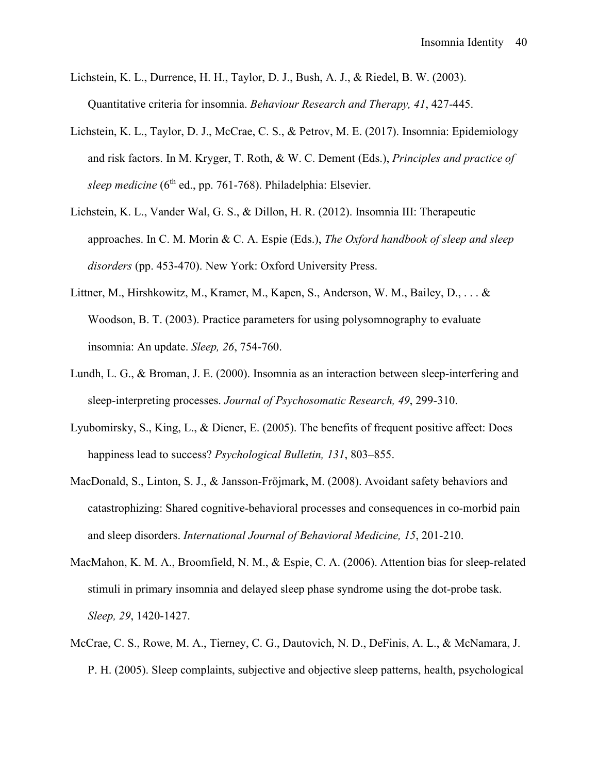- Lichstein, K. L., Durrence, H. H., Taylor, D. J., Bush, A. J., & Riedel, B. W. (2003). Quantitative criteria for insomnia. *Behaviour Research and Therapy, 41*, 427-445.
- Lichstein, K. L., Taylor, D. J., McCrae, C. S., & Petrov, M. E. (2017). Insomnia: Epidemiology and risk factors. In M. Kryger, T. Roth, & W. C. Dement (Eds.), *Principles and practice of sleep medicine* (6th ed., pp. 761-768). Philadelphia: Elsevier.
- Lichstein, K. L., Vander Wal, G. S., & Dillon, H. R. (2012). Insomnia III: Therapeutic approaches. In C. M. Morin & C. A. Espie (Eds.), *The Oxford handbook of sleep and sleep disorders* (pp. 453-470). New York: Oxford University Press.
- Littner, M., Hirshkowitz, M., Kramer, M., Kapen, S., Anderson, W. M., Bailey, D., . . . & Woodson, B. T. (2003). Practice parameters for using polysomnography to evaluate insomnia: An update. *Sleep, 26*, 754-760.
- Lundh, L. G., & Broman, J. E. (2000). Insomnia as an interaction between sleep-interfering and sleep-interpreting processes. *Journal of Psychosomatic Research, 49*, 299-310.
- Lyubomirsky, S., King, L., & Diener, E. (2005). The benefits of frequent positive affect: Does happiness lead to success? *Psychological Bulletin, 131*, 803–855.
- MacDonald, S., Linton, S. J., & Jansson-Fröjmark, M. (2008). Avoidant safety behaviors and catastrophizing: Shared cognitive-behavioral processes and consequences in co-morbid pain and sleep disorders. *International Journal of Behavioral Medicine, 15*, 201-210.
- MacMahon, K. M. A., Broomfield, N. M., & Espie, C. A. (2006). Attention bias for sleep-related stimuli in primary insomnia and delayed sleep phase syndrome using the dot-probe task. *Sleep, 29*, 1420-1427.
- McCrae, C. S., Rowe, M. A., Tierney, C. G., Dautovich, N. D., DeFinis, A. L., & McNamara, J. P. H. (2005). Sleep complaints, subjective and objective sleep patterns, health, psychological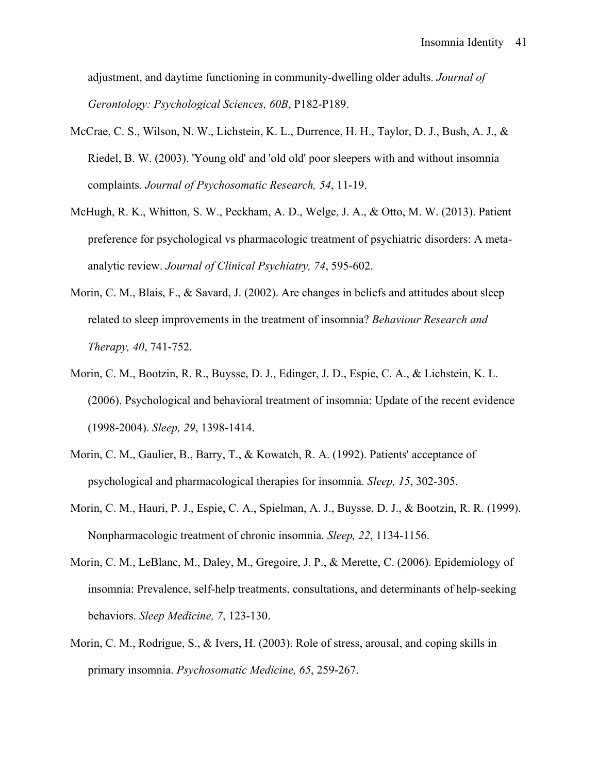adjustment, and daytime functioning in community-dwelling older adults. *Journal of Gerontology: Psychological Sciences, 60B*, P182-P189.

- McCrae, C. S., Wilson, N. W., Lichstein, K. L., Durrence, H. H., Taylor, D. J., Bush, A. J., & Riedel, B. W. (2003). 'Young old' and 'old old' poor sleepers with and without insomnia complaints. *Journal of Psychosomatic Research, 54*, 11-19.
- McHugh, R. K., Whitton, S. W., Peckham, A. D., Welge, J. A., & Otto, M. W. (2013). Patient preference for psychological vs pharmacologic treatment of psychiatric disorders: A metaanalytic review. *Journal of Clinical Psychiatry, 74*, 595-602.
- Morin, C. M., Blais, F., & Savard, J. (2002). Are changes in beliefs and attitudes about sleep related to sleep improvements in the treatment of insomnia? *Behaviour Research and Therapy, 40*, 741-752.
- Morin, C. M., Bootzin, R. R., Buysse, D. J., Edinger, J. D., Espie, C. A., & Lichstein, K. L. (2006). Psychological and behavioral treatment of insomnia: Update of the recent evidence (1998-2004). *Sleep, 29*, 1398-1414.
- Morin, C. M., Gaulier, B., Barry, T., & Kowatch, R. A. (1992). Patients' acceptance of psychological and pharmacological therapies for insomnia. *Sleep, 15*, 302-305.
- Morin, C. M., Hauri, P. J., Espie, C. A., Spielman, A. J., Buysse, D. J., & Bootzin, R. R. (1999). Nonpharmacologic treatment of chronic insomnia. *Sleep, 22*, 1134-1156.
- Morin, C. M., LeBlanc, M., Daley, M., Gregoire, J. P., & Merette, C. (2006). Epidemiology of insomnia: Prevalence, self-help treatments, consultations, and determinants of help-seeking behaviors. *Sleep Medicine, 7*, 123-130.
- Morin, C. M., Rodrigue, S., & Ivers, H. (2003). Role of stress, arousal, and coping skills in primary insomnia. *Psychosomatic Medicine, 65*, 259-267.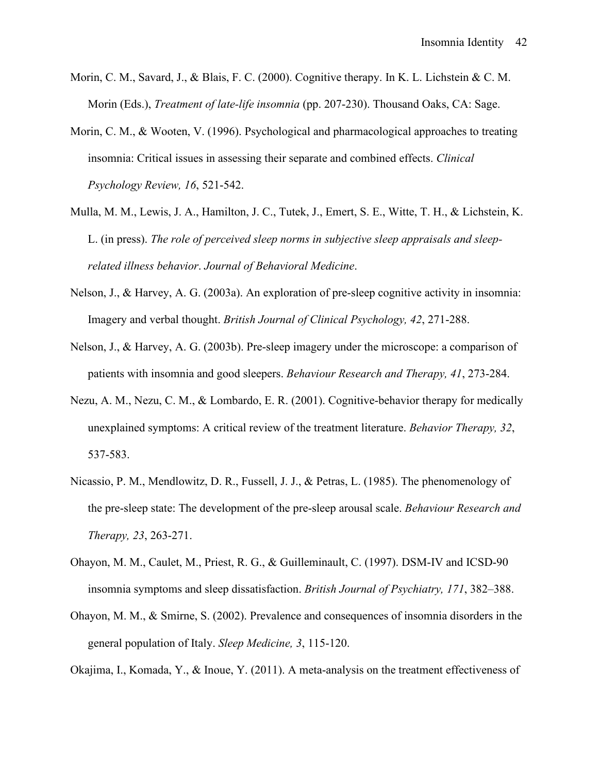- Morin, C. M., Savard, J., & Blais, F. C. (2000). Cognitive therapy. In K. L. Lichstein & C. M. Morin (Eds.), *Treatment of late-life insomnia* (pp. 207-230). Thousand Oaks, CA: Sage.
- Morin, C. M., & Wooten, V. (1996). Psychological and pharmacological approaches to treating insomnia: Critical issues in assessing their separate and combined effects. *Clinical Psychology Review, 16*, 521-542.
- Mulla, M. M., Lewis, J. A., Hamilton, J. C., Tutek, J., Emert, S. E., Witte, T. H., & Lichstein, K. L. (in press). *The role of perceived sleep norms in subjective sleep appraisals and sleeprelated illness behavior*. *Journal of Behavioral Medicine*.
- Nelson, J., & Harvey, A. G. (2003a). An exploration of pre-sleep cognitive activity in insomnia: Imagery and verbal thought. *British Journal of Clinical Psychology, 42*, 271-288.
- Nelson, J., & Harvey, A. G. (2003b). Pre-sleep imagery under the microscope: a comparison of patients with insomnia and good sleepers. *Behaviour Research and Therapy, 41*, 273-284.
- Nezu, A. M., Nezu, C. M., & Lombardo, E. R. (2001). Cognitive-behavior therapy for medically unexplained symptoms: A critical review of the treatment literature. *Behavior Therapy, 32*, 537-583.
- Nicassio, P. M., Mendlowitz, D. R., Fussell, J. J., & Petras, L. (1985). The phenomenology of the pre-sleep state: The development of the pre-sleep arousal scale. *Behaviour Research and Therapy, 23*, 263-271.
- Ohayon, M. M., Caulet, M., Priest, R. G., & Guilleminault, C. (1997). DSM-IV and ICSD-90 insomnia symptoms and sleep dissatisfaction. *British Journal of Psychiatry, 171*, 382–388.
- Ohayon, M. M., & Smirne, S. (2002). Prevalence and consequences of insomnia disorders in the general population of Italy. *Sleep Medicine, 3*, 115-120.

Okajima, I., Komada, Y., & Inoue, Y. (2011). A meta-analysis on the treatment effectiveness of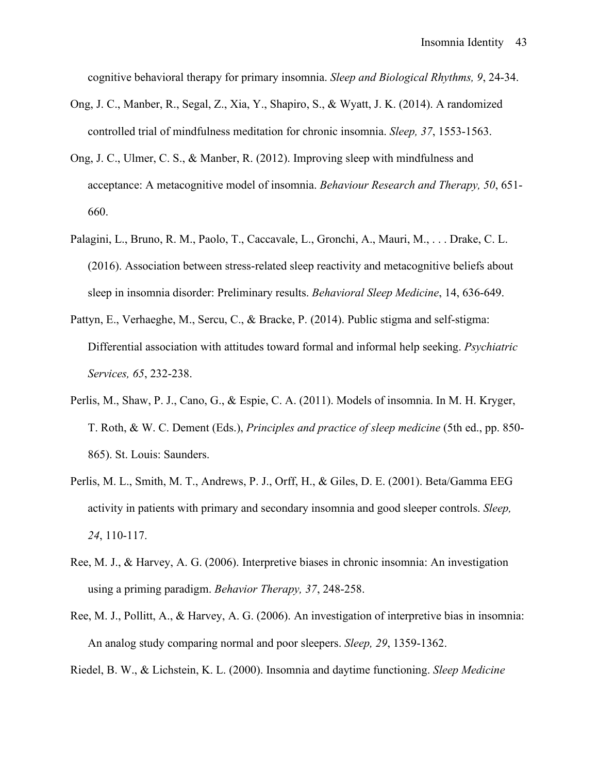cognitive behavioral therapy for primary insomnia. *Sleep and Biological Rhythms, 9*, 24-34.

- Ong, J. C., Manber, R., Segal, Z., Xia, Y., Shapiro, S., & Wyatt, J. K. (2014). A randomized controlled trial of mindfulness meditation for chronic insomnia. *Sleep, 37*, 1553-1563.
- Ong, J. C., Ulmer, C. S., & Manber, R. (2012). Improving sleep with mindfulness and acceptance: A metacognitive model of insomnia. *Behaviour Research and Therapy, 50*, 651- 660.
- Palagini, L., Bruno, R. M., Paolo, T., Caccavale, L., Gronchi, A., Mauri, M., . . . Drake, C. L. (2016). Association between stress-related sleep reactivity and metacognitive beliefs about sleep in insomnia disorder: Preliminary results. *Behavioral Sleep Medicine*, 14, 636-649.
- Pattyn, E., Verhaeghe, M., Sercu, C., & Bracke, P. (2014). Public stigma and self-stigma: Differential association with attitudes toward formal and informal help seeking. *Psychiatric Services, 65*, 232-238.
- Perlis, M., Shaw, P. J., Cano, G., & Espie, C. A. (2011). Models of insomnia. In M. H. Kryger, T. Roth, & W. C. Dement (Eds.), *Principles and practice of sleep medicine* (5th ed., pp. 850- 865). St. Louis: Saunders.
- Perlis, M. L., Smith, M. T., Andrews, P. J., Orff, H., & Giles, D. E. (2001). Beta/Gamma EEG activity in patients with primary and secondary insomnia and good sleeper controls. *Sleep, 24*, 110-117.
- Ree, M. J., & Harvey, A. G. (2006). Interpretive biases in chronic insomnia: An investigation using a priming paradigm. *Behavior Therapy, 37*, 248-258.
- Ree, M. J., Pollitt, A., & Harvey, A. G. (2006). An investigation of interpretive bias in insomnia: An analog study comparing normal and poor sleepers. *Sleep, 29*, 1359-1362.

Riedel, B. W., & Lichstein, K. L. (2000). Insomnia and daytime functioning. *Sleep Medicine*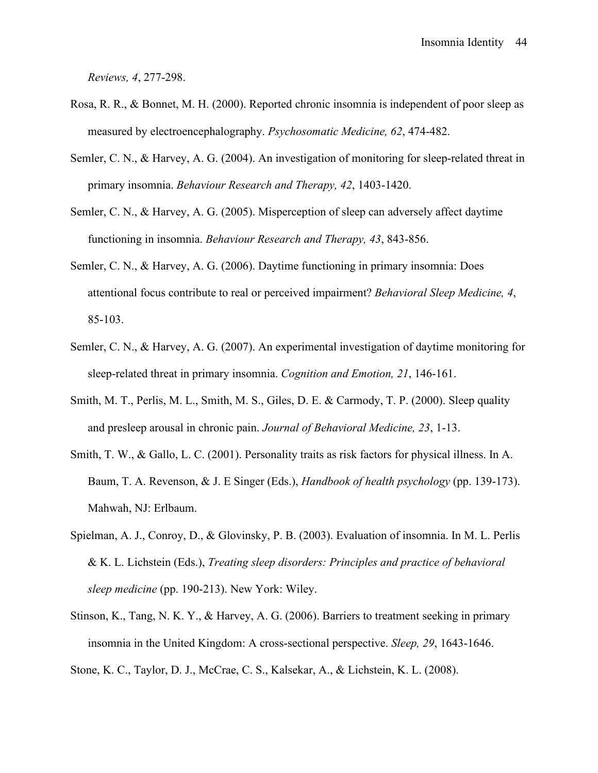*Reviews, 4*, 277-298.

- Rosa, R. R., & Bonnet, M. H. (2000). Reported chronic insomnia is independent of poor sleep as measured by electroencephalography. *Psychosomatic Medicine, 62*, 474-482.
- Semler, C. N., & Harvey, A. G. (2004). An investigation of monitoring for sleep-related threat in primary insomnia. *Behaviour Research and Therapy, 42*, 1403-1420.
- Semler, C. N., & Harvey, A. G. (2005). Misperception of sleep can adversely affect daytime functioning in insomnia. *Behaviour Research and Therapy, 43*, 843-856.
- Semler, C. N., & Harvey, A. G. (2006). Daytime functioning in primary insomnia: Does attentional focus contribute to real or perceived impairment? *Behavioral Sleep Medicine, 4*, 85-103.
- Semler, C. N., & Harvey, A. G. (2007). An experimental investigation of daytime monitoring for sleep-related threat in primary insomnia. *Cognition and Emotion, 21*, 146-161.
- Smith, M. T., Perlis, M. L., Smith, M. S., Giles, D. E. & Carmody, T. P. (2000). Sleep quality and presleep arousal in chronic pain. *Journal of Behavioral Medicine, 23*, 1-13.
- Smith, T. W., & Gallo, L. C. (2001). Personality traits as risk factors for physical illness. In A. Baum, T. A. Revenson, & J. E Singer (Eds.), *Handbook of health psychology* (pp. 139-173). Mahwah, NJ: Erlbaum.
- Spielman, A. J., Conroy, D., & Glovinsky, P. B. (2003). Evaluation of insomnia. In M. L. Perlis & K. L. Lichstein (Eds.), *Treating sleep disorders: Principles and practice of behavioral sleep medicine* (pp. 190-213). New York: Wiley.
- Stinson, K., Tang, N. K. Y., & Harvey, A. G. (2006). Barriers to treatment seeking in primary insomnia in the United Kingdom: A cross-sectional perspective. *Sleep, 29*, 1643-1646.

Stone, K. C., Taylor, D. J., McCrae, C. S., Kalsekar, A., & Lichstein, K. L. (2008).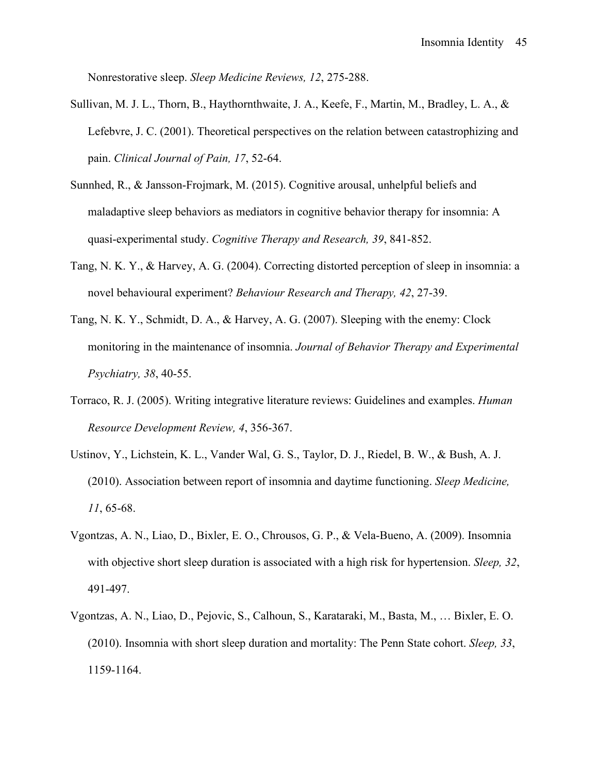Nonrestorative sleep. *Sleep Medicine Reviews, 12*, 275-288.

- Sullivan, M. J. L., Thorn, B., Haythornthwaite, J. A., Keefe, F., Martin, M., Bradley, L. A., & Lefebvre, J. C. (2001). Theoretical perspectives on the relation between catastrophizing and pain. *Clinical Journal of Pain, 17*, 52-64.
- Sunnhed, R., & Jansson-Frojmark, M. (2015). Cognitive arousal, unhelpful beliefs and maladaptive sleep behaviors as mediators in cognitive behavior therapy for insomnia: A quasi-experimental study. *Cognitive Therapy and Research, 39*, 841-852.
- Tang, N. K. Y., & Harvey, A. G. (2004). Correcting distorted perception of sleep in insomnia: a novel behavioural experiment? *Behaviour Research and Therapy, 42*, 27-39.
- Tang, N. K. Y., Schmidt, D. A., & Harvey, A. G. (2007). Sleeping with the enemy: Clock monitoring in the maintenance of insomnia. *Journal of Behavior Therapy and Experimental Psychiatry, 38*, 40-55.
- Torraco, R. J. (2005). Writing integrative literature reviews: Guidelines and examples. *Human Resource Development Review, 4*, 356-367.
- Ustinov, Y., Lichstein, K. L., Vander Wal, G. S., Taylor, D. J., Riedel, B. W., & Bush, A. J. (2010). Association between report of insomnia and daytime functioning. *Sleep Medicine, 11*, 65-68.
- Vgontzas, A. N., Liao, D., Bixler, E. O., Chrousos, G. P., & Vela-Bueno, A. (2009). Insomnia with objective short sleep duration is associated with a high risk for hypertension. *Sleep, 32*, 491-497.
- Vgontzas, A. N., Liao, D., Pejovic, S., Calhoun, S., Karataraki, M., Basta, M., … Bixler, E. O. (2010). Insomnia with short sleep duration and mortality: The Penn State cohort. *Sleep, 33*, 1159-1164.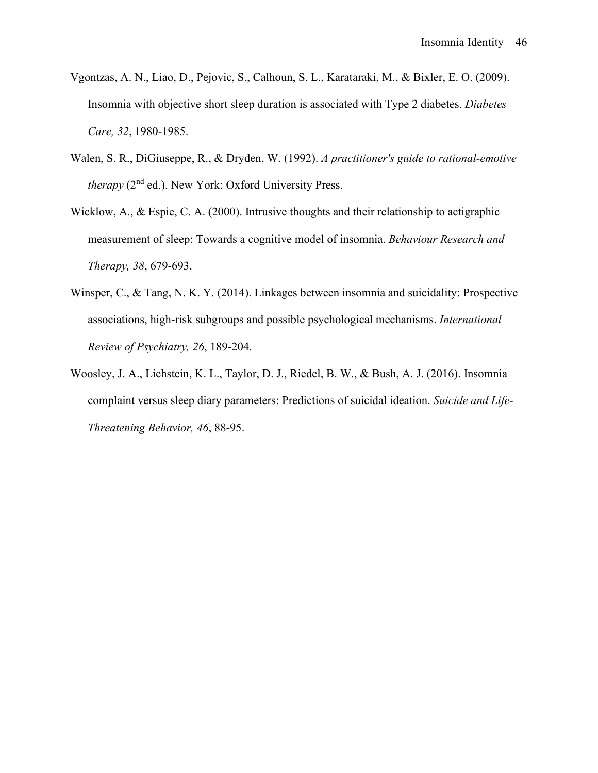- Vgontzas, A. N., Liao, D., Pejovic, S., Calhoun, S. L., Karataraki, M., & Bixler, E. O. (2009). Insomnia with objective short sleep duration is associated with Type 2 diabetes. *Diabetes Care, 32*, 1980-1985.
- Walen, S. R., DiGiuseppe, R., & Dryden, W. (1992). *A practitioner's guide to rational-emotive therapy* (2<sup>nd</sup> ed.). New York: Oxford University Press.
- Wicklow, A., & Espie, C. A. (2000). Intrusive thoughts and their relationship to actigraphic measurement of sleep: Towards a cognitive model of insomnia. *Behaviour Research and Therapy, 38*, 679-693.
- Winsper, C., & Tang, N. K. Y. (2014). Linkages between insomnia and suicidality: Prospective associations, high-risk subgroups and possible psychological mechanisms. *International Review of Psychiatry, 26*, 189-204.
- Woosley, J. A., Lichstein, K. L., Taylor, D. J., Riedel, B. W., & Bush, A. J. (2016). Insomnia complaint versus sleep diary parameters: Predictions of suicidal ideation. *Suicide and Life-Threatening Behavior, 46*, 88-95.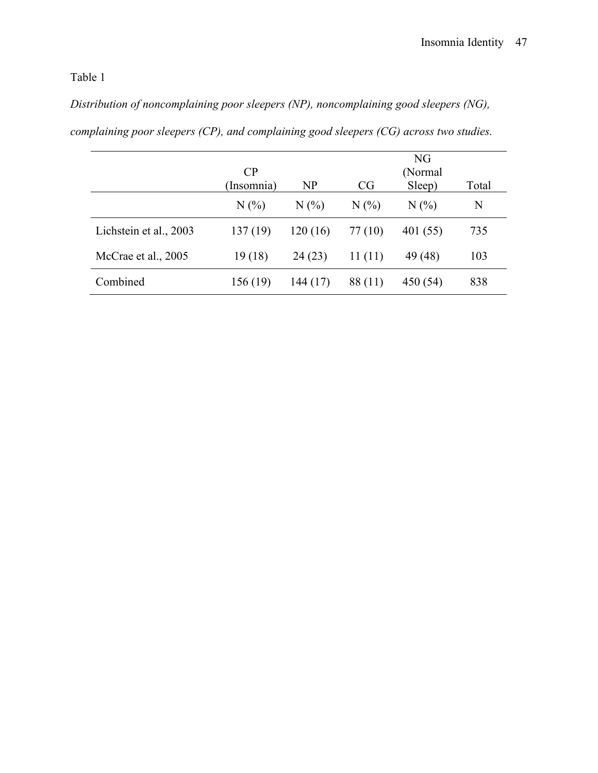## Table 1

# *Distribution of noncomplaining poor sleepers (NP), noncomplaining good sleepers (NG),*

|                        |            |          |         | NG       |       |
|------------------------|------------|----------|---------|----------|-------|
|                        | CP         |          |         | (Normal  |       |
|                        | (Insomnia) | NP       | CG      | Sleep)   | Total |
|                        | N(%        | N(%      | N(%     | N(%      | N     |
| Lichstein et al., 2003 | 137 (19)   | 120(16)  | 77 (10) | 401 (55) | 735   |
| McCrae et al., 2005    | 19(18)     | 24(23)   | 11(11)  | 49 (48)  | 103   |
| Combined               | 156 (19)   | 144 (17) | 88 (11) | 450 (54) | 838   |

*complaining poor sleepers (CP), and complaining good sleepers (CG) across two studies.*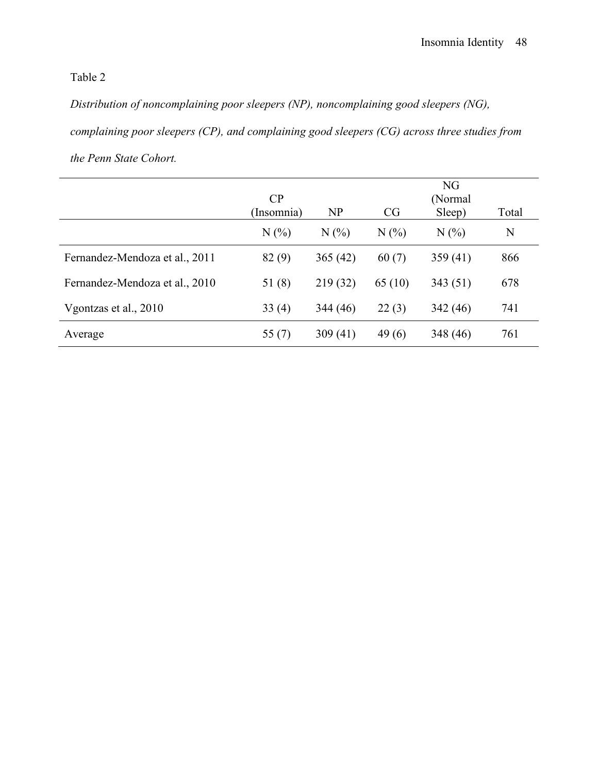## Table 2

*Distribution of noncomplaining poor sleepers (NP), noncomplaining good sleepers (NG), complaining poor sleepers (CP), and complaining good sleepers (CG) across three studies from the Penn State Cohort.*

|                                |            |           |        | <b>NG</b> |       |
|--------------------------------|------------|-----------|--------|-----------|-------|
|                                | CP         |           |        | (Normal)  |       |
|                                | (Insomnia) | <b>NP</b> | CG     | Sleep)    | Total |
|                                | N(%)       | N(%       | N(%    | N(%       | N     |
| Fernandez-Mendoza et al., 2011 | 82(9)      | 365(42)   | 60(7)  | 359(41)   | 866   |
| Fernandez-Mendoza et al., 2010 | 51 (8)     | 219(32)   | 65(10) | 343 (51)  | 678   |
| Vgontzas et al., 2010          | 33(4)      | 344 (46)  | 22(3)  | 342 (46)  | 741   |
| Average                        | 55 $(7)$   | 309(41)   | 49(6)  | 348 (46)  | 761   |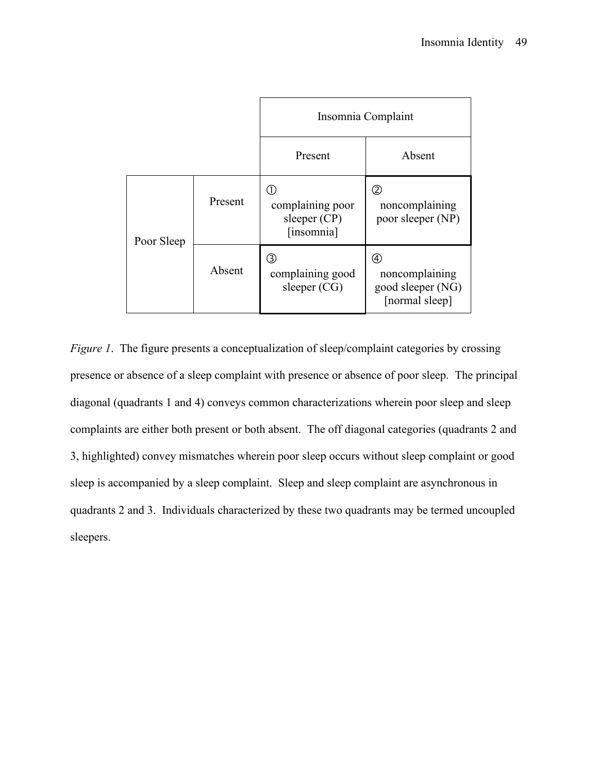|            |         |                                                       | Insomnia Complaint                                         |  |  |
|------------|---------|-------------------------------------------------------|------------------------------------------------------------|--|--|
|            |         | Present                                               | Absent                                                     |  |  |
| Poor Sleep | Present | Œ<br>complaining poor<br>sleeper $(CP)$<br>[insomnia] | ②<br>noncomplaining<br>poor sleeper (NP)                   |  |  |
|            | Absent  | ③<br>complaining good<br>sleeper $(CG)$               | 4<br>noncomplaining<br>good sleeper (NG)<br>[normal sleep] |  |  |

*Figure 1*. The figure presents a conceptualization of sleep/complaint categories by crossing presence or absence of a sleep complaint with presence or absence of poor sleep. The principal diagonal (quadrants 1 and 4) conveys common characterizations wherein poor sleep and sleep complaints are either both present or both absent. The off diagonal categories (quadrants 2 and 3, highlighted) convey mismatches wherein poor sleep occurs without sleep complaint or good sleep is accompanied by a sleep complaint. Sleep and sleep complaint are asynchronous in quadrants 2 and 3. Individuals characterized by these two quadrants may be termed uncoupled sleepers.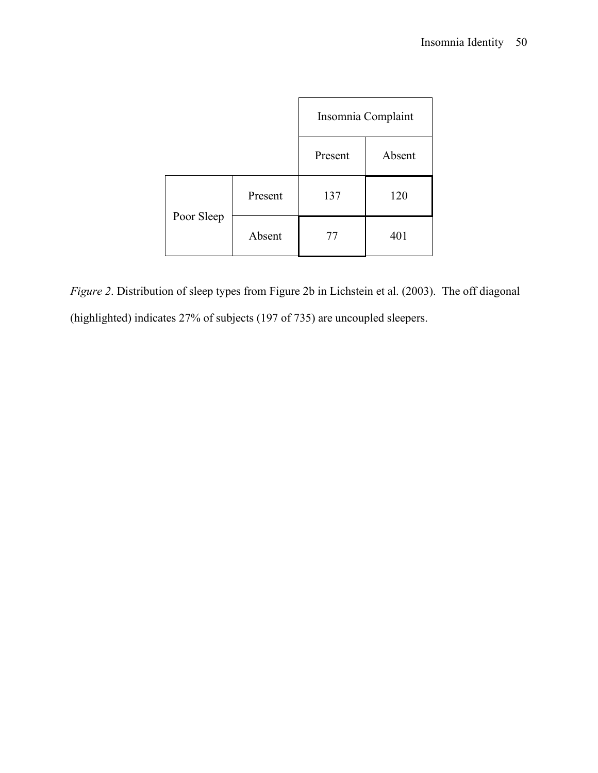|            |         | Insomnia Complaint |        |  |
|------------|---------|--------------------|--------|--|
|            |         | Present            | Absent |  |
| Poor Sleep | Present | 137                | 120    |  |
|            | Absent  | 77                 | 401    |  |

*Figure 2*. Distribution of sleep types from Figure 2b in Lichstein et al. (2003). The off diagonal (highlighted) indicates 27% of subjects (197 of 735) are uncoupled sleepers.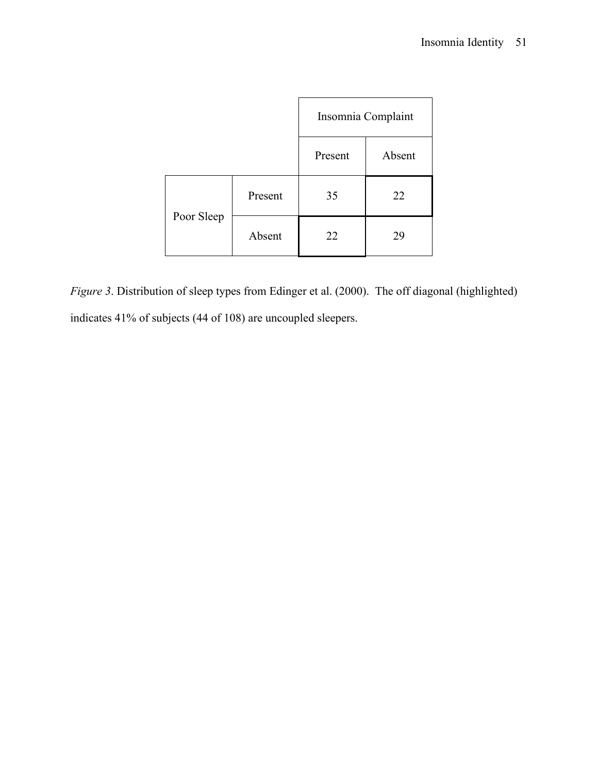|            |         | Insomnia Complaint |        |  |
|------------|---------|--------------------|--------|--|
|            |         | Present            | Absent |  |
| Poor Sleep | Present | 35                 | 22     |  |
|            | Absent  | 22                 | 29     |  |

*Figure 3*. Distribution of sleep types from Edinger et al. (2000). The off diagonal (highlighted) indicates 41% of subjects (44 of 108) are uncoupled sleepers.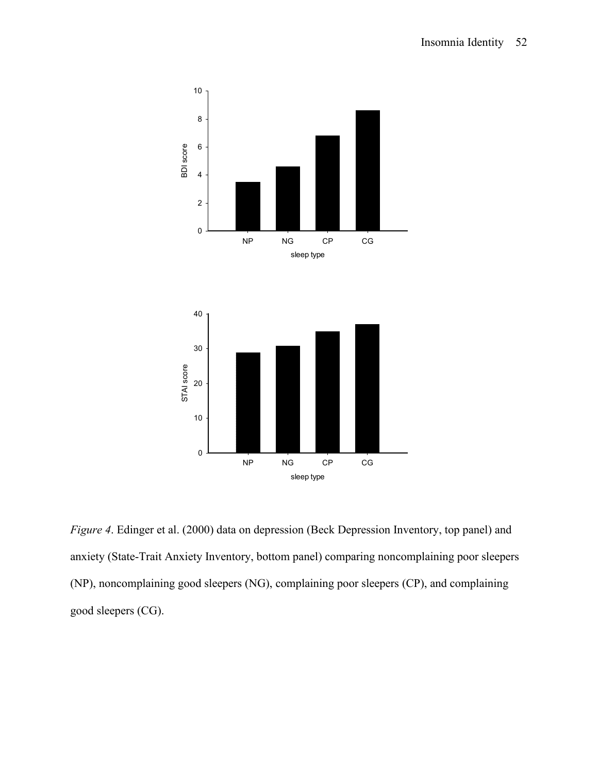

*Figure 4*. Edinger et al. (2000) data on depression (Beck Depression Inventory, top panel) and anxiety (State-Trait Anxiety Inventory, bottom panel) comparing noncomplaining poor sleepers (NP), noncomplaining good sleepers (NG), complaining poor sleepers (CP), and complaining good sleepers (CG).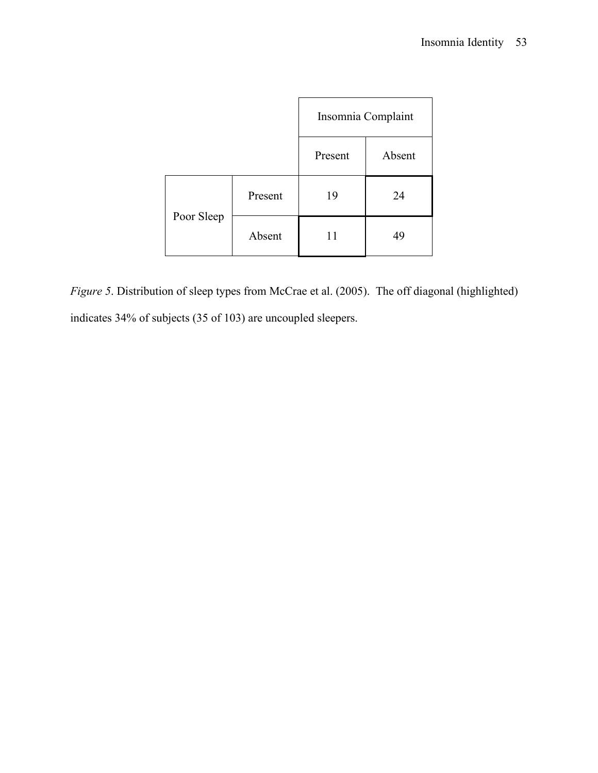

*Figure 5*. Distribution of sleep types from McCrae et al. (2005). The off diagonal (highlighted) indicates 34% of subjects (35 of 103) are uncoupled sleepers.